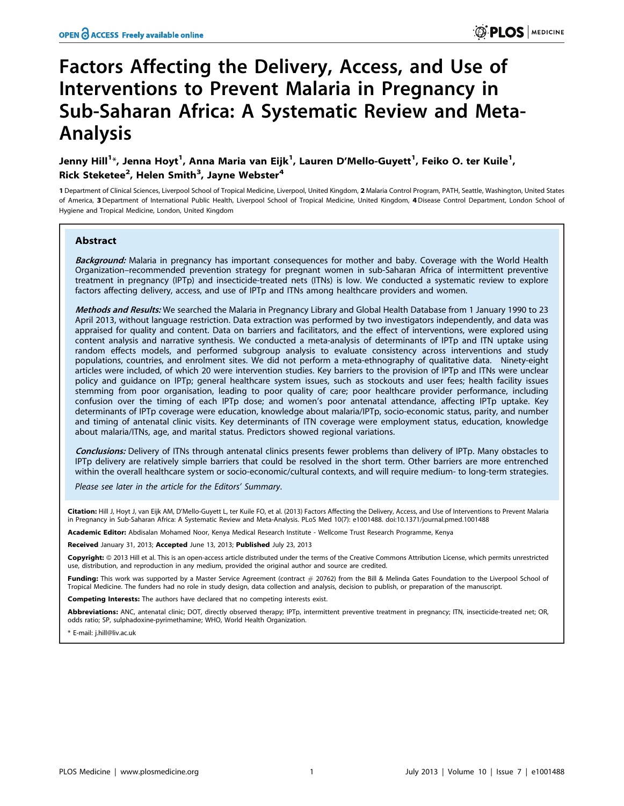# Factors Affecting the Delivery, Access, and Use of Interventions to Prevent Malaria in Pregnancy in Sub-Saharan Africa: A Systematic Review and Meta-Analysis

# Jenny Hill<sup>1</sup>\*, Jenna Hoyt<sup>1</sup>, Anna Maria van Eijk<sup>1</sup>, Lauren D'Mello-Guyett<sup>1</sup>, Feiko O. ter Kuile<sup>1</sup>, Rick Steketee<sup>2</sup>, Helen Smith<sup>3</sup>, Jayne Webster<sup>4</sup>

1 Department of Clinical Sciences, Liverpool School of Tropical Medicine, Liverpool, United Kingdom, 2 Malaria Control Program, PATH, Seattle, Washington, United States of America, 3 Department of International Public Health, Liverpool School of Tropical Medicine, United Kingdom, 4 Disease Control Department, London School of Hygiene and Tropical Medicine, London, United Kingdom

# Abstract

Background: Malaria in pregnancy has important consequences for mother and baby. Coverage with the World Health Organization–recommended prevention strategy for pregnant women in sub-Saharan Africa of intermittent preventive treatment in pregnancy (IPTp) and insecticide-treated nets (ITNs) is low. We conducted a systematic review to explore factors affecting delivery, access, and use of IPTp and ITNs among healthcare providers and women.

Methods and Results: We searched the Malaria in Pregnancy Library and Global Health Database from 1 January 1990 to 23 April 2013, without language restriction. Data extraction was performed by two investigators independently, and data was appraised for quality and content. Data on barriers and facilitators, and the effect of interventions, were explored using content analysis and narrative synthesis. We conducted a meta-analysis of determinants of IPTp and ITN uptake using random effects models, and performed subgroup analysis to evaluate consistency across interventions and study populations, countries, and enrolment sites. We did not perform a meta-ethnography of qualitative data. Ninety-eight articles were included, of which 20 were intervention studies. Key barriers to the provision of IPTp and ITNs were unclear policy and guidance on IPTp; general healthcare system issues, such as stockouts and user fees; health facility issues stemming from poor organisation, leading to poor quality of care; poor healthcare provider performance, including confusion over the timing of each IPTp dose; and women's poor antenatal attendance, affecting IPTp uptake. Key determinants of IPTp coverage were education, knowledge about malaria/IPTp, socio-economic status, parity, and number and timing of antenatal clinic visits. Key determinants of ITN coverage were employment status, education, knowledge about malaria/ITNs, age, and marital status. Predictors showed regional variations.

Conclusions: Delivery of ITNs through antenatal clinics presents fewer problems than delivery of IPTp. Many obstacles to IPTp delivery are relatively simple barriers that could be resolved in the short term. Other barriers are more entrenched within the overall healthcare system or socio-economic/cultural contexts, and will require medium- to long-term strategies.

Please see later in the article for the Editors' Summary.

Citation: Hill J, Hoyt J, van Eijk AM, D'Mello-Guyett L, ter Kuile FO, et al. (2013) Factors Affecting the Delivery, Access, and Use of Interventions to Prevent Malaria in Pregnancy in Sub-Saharan Africa: A Systematic Review and Meta-Analysis. PLoS Med 10(7): e1001488. doi:10.1371/journal.pmed.1001488

Academic Editor: Abdisalan Mohamed Noor, Kenya Medical Research Institute - Wellcome Trust Research Programme, Kenya

Received January 31, 2013; Accepted June 13, 2013; Published July 23, 2013

**Copyright:** © 2013 Hill et al. This is an open-access article distributed under the terms of the Creative Commons Attribution License, which permits unrestricted use, distribution, and reproduction in any medium, provided the original author and source are credited.

Funding: This work was supported by a Master Service Agreement (contract # 20762) from the Bill & Melinda Gates Foundation to the Liverpool School of Tropical Medicine. The funders had no role in study design, data collection and analysis, decision to publish, or preparation of the manuscript.

Competing Interests: The authors have declared that no competing interests exist.

Abbreviations: ANC, antenatal clinic; DOT, directly observed therapy; IPTp, intermittent preventive treatment in pregnancy; ITN, insecticide-treated net; OR, odds ratio; SP, sulphadoxine-pyrimethamine; WHO, World Health Organization.

\* E-mail: j.hill@liv.ac.uk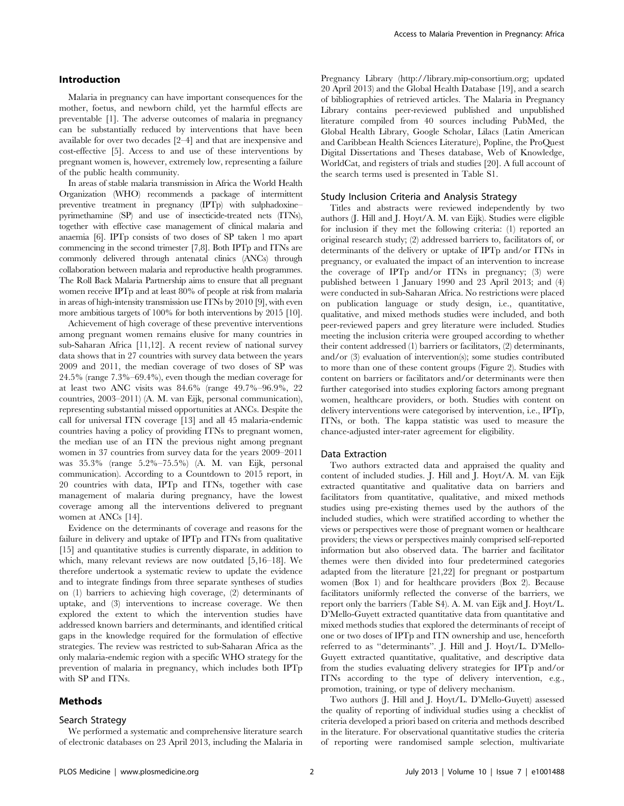### Introduction

Malaria in pregnancy can have important consequences for the mother, foetus, and newborn child, yet the harmful effects are preventable [1]. The adverse outcomes of malaria in pregnancy can be substantially reduced by interventions that have been available for over two decades [2–4] and that are inexpensive and cost-effective [5]. Access to and use of these interventions by pregnant women is, however, extremely low, representing a failure of the public health community.

In areas of stable malaria transmission in Africa the World Health Organization (WHO) recommends a package of intermittent preventive treatment in pregnancy (IPTp) with sulphadoxine– pyrimethamine (SP) and use of insecticide-treated nets (ITNs), together with effective case management of clinical malaria and anaemia [6]. IPTp consists of two doses of SP taken 1 mo apart commencing in the second trimester [7,8]. Both IPTp and ITNs are commonly delivered through antenatal clinics (ANCs) through collaboration between malaria and reproductive health programmes. The Roll Back Malaria Partnership aims to ensure that all pregnant women receive IPTp and at least 80% of people at risk from malaria in areas of high-intensity transmission use ITNs by 2010 [9], with even more ambitious targets of 100% for both interventions by 2015 [10].

Achievement of high coverage of these preventive interventions among pregnant women remains elusive for many countries in sub-Saharan Africa [11,12]. A recent review of national survey data shows that in 27 countries with survey data between the years 2009 and 2011, the median coverage of two doses of SP was 24.5% (range 7.3%–69.4%), even though the median coverage for at least two ANC visits was 84.6% (range 49.7%–96.9%, 22 countries, 2003–2011) (A. M. van Eijk, personal communication), representing substantial missed opportunities at ANCs. Despite the call for universal ITN coverage [13] and all 45 malaria-endemic countries having a policy of providing ITNs to pregnant women, the median use of an ITN the previous night among pregnant women in 37 countries from survey data for the years 2009–2011 was 35.3% (range 5.2%–75.5%) (A. M. van Eijk, personal communication). According to a Countdown to 2015 report, in 20 countries with data, IPTp and ITNs, together with case management of malaria during pregnancy, have the lowest coverage among all the interventions delivered to pregnant women at ANCs [14].

Evidence on the determinants of coverage and reasons for the failure in delivery and uptake of IPTp and ITNs from qualitative [15] and quantitative studies is currently disparate, in addition to which, many relevant reviews are now outdated [5,16–18]. We therefore undertook a systematic review to update the evidence and to integrate findings from three separate syntheses of studies on (1) barriers to achieving high coverage, (2) determinants of uptake, and (3) interventions to increase coverage. We then explored the extent to which the intervention studies have addressed known barriers and determinants, and identified critical gaps in the knowledge required for the formulation of effective strategies. The review was restricted to sub-Saharan Africa as the only malaria-endemic region with a specific WHO strategy for the prevention of malaria in pregnancy, which includes both IPTp with SP and ITNs.

### Methods

### Search Strategy

We performed a systematic and comprehensive literature search of electronic databases on 23 April 2013, including the Malaria in Pregnancy Library (http://library.mip-consortium.org; updated 20 April 2013) and the Global Health Database [19], and a search of bibliographies of retrieved articles. The Malaria in Pregnancy Library contains peer-reviewed published and unpublished literature compiled from 40 sources including PubMed, the Global Health Library, Google Scholar, Lilacs (Latin American and Caribbean Health Sciences Literature), Popline, the ProQuest Digital Dissertations and Theses database, Web of Knowledge, WorldCat, and registers of trials and studies [20]. A full account of the search terms used is presented in Table S1.

#### Study Inclusion Criteria and Analysis Strategy

Titles and abstracts were reviewed independently by two authors (J. Hill and J. Hoyt/A. M. van Eijk). Studies were eligible for inclusion if they met the following criteria: (1) reported an original research study; (2) addressed barriers to, facilitators of, or determinants of the delivery or uptake of IPTp and/or ITNs in pregnancy, or evaluated the impact of an intervention to increase the coverage of IPTp and/or ITNs in pregnancy; (3) were published between 1 January 1990 and 23 April 2013; and (4) were conducted in sub-Saharan Africa. No restrictions were placed on publication language or study design, i.e., quantitative, qualitative, and mixed methods studies were included, and both peer-reviewed papers and grey literature were included. Studies meeting the inclusion criteria were grouped according to whether their content addressed (1) barriers or facilitators, (2) determinants, and/or (3) evaluation of intervention(s); some studies contributed to more than one of these content groups (Figure 2). Studies with content on barriers or facilitators and/or determinants were then further categorised into studies exploring factors among pregnant women, healthcare providers, or both. Studies with content on delivery interventions were categorised by intervention, i.e., IPTp, ITNs, or both. The kappa statistic was used to measure the chance-adjusted inter-rater agreement for eligibility.

### Data Extraction

Two authors extracted data and appraised the quality and content of included studies. J. Hill and J. Hoyt/A. M. van Eijk extracted quantitative and qualitative data on barriers and facilitators from quantitative, qualitative, and mixed methods studies using pre-existing themes used by the authors of the included studies, which were stratified according to whether the views or perspectives were those of pregnant women or healthcare providers; the views or perspectives mainly comprised self-reported information but also observed data. The barrier and facilitator themes were then divided into four predetermined categories adapted from the literature [21,22] for pregnant or postpartum women (Box 1) and for healthcare providers (Box 2). Because facilitators uniformly reflected the converse of the barriers, we report only the barriers (Table S4). A. M. van Eijk and J. Hoyt/L. D'Mello-Guyett extracted quantitative data from quantitative and mixed methods studies that explored the determinants of receipt of one or two doses of IPTp and ITN ownership and use, henceforth referred to as ''determinants''. J. Hill and J. Hoyt/L. D'Mello-Guyett extracted quantitative, qualitative, and descriptive data from the studies evaluating delivery strategies for IPTp and/or ITNs according to the type of delivery intervention, e.g., promotion, training, or type of delivery mechanism.

Two authors (J. Hill and J. Hoyt/L. D'Mello-Guyett) assessed the quality of reporting of individual studies using a checklist of criteria developed a priori based on criteria and methods described in the literature. For observational quantitative studies the criteria of reporting were randomised sample selection, multivariate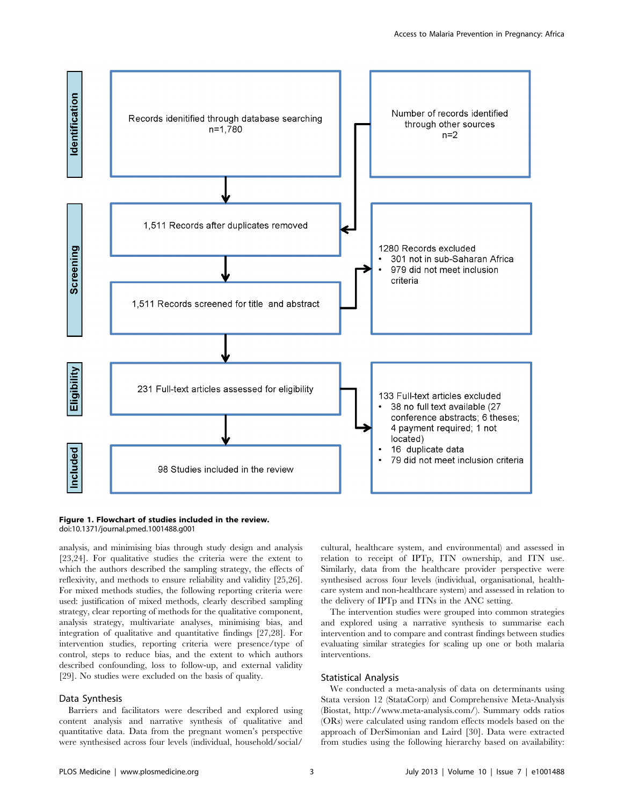

### Figure 1. Flowchart of studies included in the review. doi:10.1371/journal.pmed.1001488.g001

analysis, and minimising bias through study design and analysis [23,24]. For qualitative studies the criteria were the extent to which the authors described the sampling strategy, the effects of reflexivity, and methods to ensure reliability and validity [25,26]. For mixed methods studies, the following reporting criteria were used: justification of mixed methods, clearly described sampling strategy, clear reporting of methods for the qualitative component, analysis strategy, multivariate analyses, minimising bias, and integration of qualitative and quantitative findings [27,28]. For intervention studies, reporting criteria were presence/type of control, steps to reduce bias, and the extent to which authors described confounding, loss to follow-up, and external validity [29]. No studies were excluded on the basis of quality.

# Data Synthesis

Barriers and facilitators were described and explored using content analysis and narrative synthesis of qualitative and quantitative data. Data from the pregnant women's perspective were synthesised across four levels (individual, household/social/

cultural, healthcare system, and environmental) and assessed in relation to receipt of IPTp, ITN ownership, and ITN use. Similarly, data from the healthcare provider perspective were synthesised across four levels (individual, organisational, healthcare system and non-healthcare system) and assessed in relation to the delivery of IPTp and ITNs in the ANC setting.

The intervention studies were grouped into common strategies and explored using a narrative synthesis to summarise each intervention and to compare and contrast findings between studies evaluating similar strategies for scaling up one or both malaria interventions.

# Statistical Analysis

We conducted a meta-analysis of data on determinants using Stata version 12 (StataCorp) and Comprehensive Meta-Analysis (Biostat, http://www.meta-analysis.com/). Summary odds ratios (ORs) were calculated using random effects models based on the approach of DerSimonian and Laird [30]. Data were extracted from studies using the following hierarchy based on availability: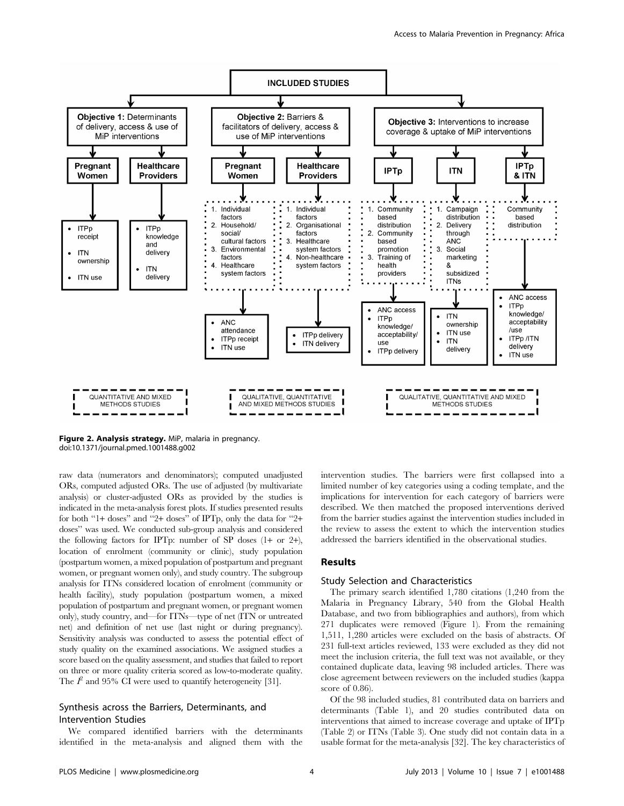

Figure 2. Analysis strategy. MiP, malaria in pregnancy. doi:10.1371/journal.pmed.1001488.g002

raw data (numerators and denominators); computed unadjusted ORs, computed adjusted ORs. The use of adjusted (by multivariate analysis) or cluster-adjusted ORs as provided by the studies is indicated in the meta-analysis forest plots. If studies presented results for both ''1+ doses'' and ''2+ doses'' of IPTp, only the data for ''2+ doses'' was used. We conducted sub-group analysis and considered the following factors for IPTp: number of SP doses  $(1+$  or  $2+)$ , location of enrolment (community or clinic), study population (postpartum women, a mixed population of postpartum and pregnant women, or pregnant women only), and study country. The subgroup analysis for ITNs considered location of enrolment (community or health facility), study population (postpartum women, a mixed population of postpartum and pregnant women, or pregnant women only), study country, and—for ITNs—type of net (ITN or untreated net) and definition of net use (last night or during pregnancy). Sensitivity analysis was conducted to assess the potential effect of study quality on the examined associations. We assigned studies a score based on the quality assessment, and studies that failed to report on three or more quality criteria scored as low-to-moderate quality. The  $\mathring{I}$  and 95% CI were used to quantify heterogeneity [31].

# Synthesis across the Barriers, Determinants, and Intervention Studies

We compared identified barriers with the determinants identified in the meta-analysis and aligned them with the

intervention studies. The barriers were first collapsed into a limited number of key categories using a coding template, and the implications for intervention for each category of barriers were described. We then matched the proposed interventions derived from the barrier studies against the intervention studies included in the review to assess the extent to which the intervention studies addressed the barriers identified in the observational studies.

### Results

## Study Selection and Characteristics

The primary search identified 1,780 citations (1,240 from the Malaria in Pregnancy Library, 540 from the Global Health Database, and two from bibliographies and authors), from which 271 duplicates were removed (Figure 1). From the remaining 1,511, 1,280 articles were excluded on the basis of abstracts. Of 231 full-text articles reviewed, 133 were excluded as they did not meet the inclusion criteria, the full text was not available, or they contained duplicate data, leaving 98 included articles. There was close agreement between reviewers on the included studies (kappa score of 0.86).

Of the 98 included studies, 81 contributed data on barriers and determinants (Table 1), and 20 studies contributed data on interventions that aimed to increase coverage and uptake of IPTp (Table 2) or ITNs (Table 3). One study did not contain data in a usable format for the meta-analysis [32]. The key characteristics of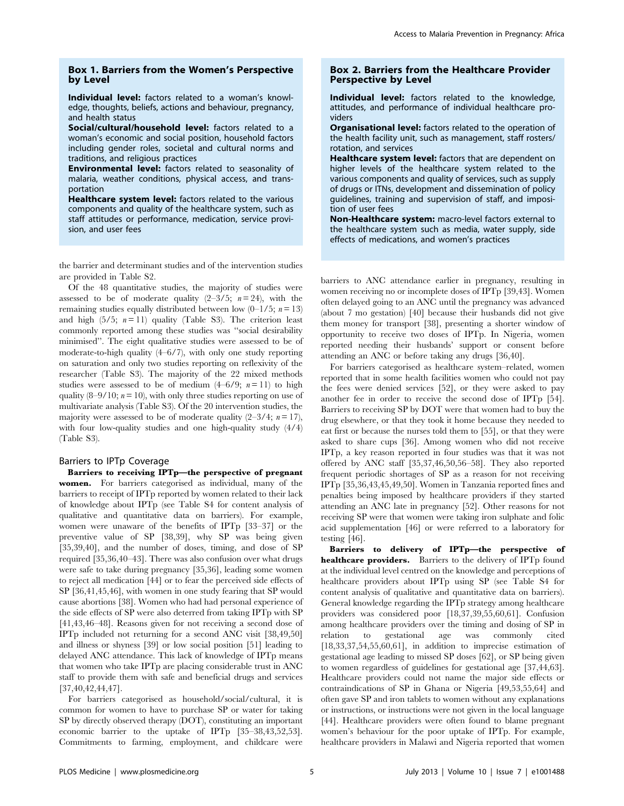# Box 1. Barriers from the Women's Perspective by Level

Individual level: factors related to a woman's knowledge, thoughts, beliefs, actions and behaviour, pregnancy, and health status

Social/cultural/household level: factors related to a woman's economic and social position, household factors including gender roles, societal and cultural norms and traditions, and religious practices

Environmental level: factors related to seasonality of malaria, weather conditions, physical access, and transportation

**Healthcare system level:** factors related to the various components and quality of the healthcare system, such as staff attitudes or performance, medication, service provision, and user fees

the barrier and determinant studies and of the intervention studies are provided in Table S2.

Of the 48 quantitative studies, the majority of studies were assessed to be of moderate quality  $(2-3/5; n=24)$ , with the remaining studies equally distributed between low  $(0-1/5; n = 13)$ and high (5/5;  $n = 11$ ) quality (Table S3). The criterion least commonly reported among these studies was ''social desirability minimised''. The eight qualitative studies were assessed to be of moderate-to-high quality (4–6/7), with only one study reporting on saturation and only two studies reporting on reflexivity of the researcher (Table S3). The majority of the 22 mixed methods studies were assessed to be of medium  $(4-6/9; n=11)$  to high quality  $(8-9/10; n=10)$ , with only three studies reporting on use of multivariate analysis (Table S3). Of the 20 intervention studies, the majority were assessed to be of moderate quality  $(2-3/4; n=17)$ , with four low-quality studies and one high-quality study (4/4) (Table S3).

### Barriers to IPTp Coverage

Barriers to receiving IPTp—the perspective of pregnant women. For barriers categorised as individual, many of the barriers to receipt of IPTp reported by women related to their lack of knowledge about IPTp (see Table S4 for content analysis of qualitative and quantitative data on barriers). For example, women were unaware of the benefits of IPTp [33–37] or the preventive value of SP [38,39], why SP was being given [35,39,40], and the number of doses, timing, and dose of SP required [35,36,40–43]. There was also confusion over what drugs were safe to take during pregnancy [35,36], leading some women to reject all medication [44] or to fear the perceived side effects of SP [36,41,45,46], with women in one study fearing that SP would cause abortions [38]. Women who had had personal experience of the side effects of SP were also deterred from taking IPTp with SP [41,43,46–48]. Reasons given for not receiving a second dose of IPTp included not returning for a second ANC visit [38,49,50] and illness or shyness [39] or low social position [51] leading to delayed ANC attendance. This lack of knowledge of IPTp means that women who take IPTp are placing considerable trust in ANC staff to provide them with safe and beneficial drugs and services [37,40,42,44,47].

For barriers categorised as household/social/cultural, it is common for women to have to purchase SP or water for taking SP by directly observed therapy (DOT), constituting an important economic barrier to the uptake of IPTp [35–38,43,52,53]. Commitments to farming, employment, and childcare were

# Box 2. Barriers from the Healthcare Provider Perspective by Level

Individual level: factors related to the knowledge, attitudes, and performance of individual healthcare providers

Organisational level: factors related to the operation of the health facility unit, such as management, staff rosters/ rotation, and services

Healthcare system level: factors that are dependent on higher levels of the healthcare system related to the various components and quality of services, such as supply of drugs or ITNs, development and dissemination of policy guidelines, training and supervision of staff, and imposition of user fees

Non-Healthcare system: macro-level factors external to the healthcare system such as media, water supply, side effects of medications, and women's practices

barriers to ANC attendance earlier in pregnancy, resulting in women receiving no or incomplete doses of IPTp [39,43]. Women often delayed going to an ANC until the pregnancy was advanced (about 7 mo gestation) [40] because their husbands did not give them money for transport [38], presenting a shorter window of opportunity to receive two doses of IPTp. In Nigeria, women reported needing their husbands' support or consent before attending an ANC or before taking any drugs [36,40].

For barriers categorised as healthcare system–related, women reported that in some health facilities women who could not pay the fees were denied services [52], or they were asked to pay another fee in order to receive the second dose of IPTp [54]. Barriers to receiving SP by DOT were that women had to buy the drug elsewhere, or that they took it home because they needed to eat first or because the nurses told them to [55], or that they were asked to share cups [36]. Among women who did not receive IPTp, a key reason reported in four studies was that it was not offered by ANC staff [35,37,46,50,56–58]. They also reported frequent periodic shortages of SP as a reason for not receiving IPTp [35,36,43,45,49,50]. Women in Tanzania reported fines and penalties being imposed by healthcare providers if they started attending an ANC late in pregnancy [52]. Other reasons for not receiving SP were that women were taking iron sulphate and folic acid supplementation [46] or were referred to a laboratory for testing [46].

Barriers to delivery of IPTp—the perspective of healthcare providers. Barriers to the delivery of IPTp found at the individual level centred on the knowledge and perceptions of healthcare providers about IPTp using SP (see Table S4 for content analysis of qualitative and quantitative data on barriers). General knowledge regarding the IPTp strategy among healthcare providers was considered poor [18,37,39,55,60,61]. Confusion among healthcare providers over the timing and dosing of SP in relation to gestational age was commonly cited [18,33,37,54,55,60,61], in addition to imprecise estimation of gestational age leading to missed SP doses [62], or SP being given to women regardless of guidelines for gestational age [37,44,63]. Healthcare providers could not name the major side effects or contraindications of SP in Ghana or Nigeria [49,53,55,64] and often gave SP and iron tablets to women without any explanations or instructions, or instructions were not given in the local language [44]. Healthcare providers were often found to blame pregnant women's behaviour for the poor uptake of IPTp. For example, healthcare providers in Malawi and Nigeria reported that women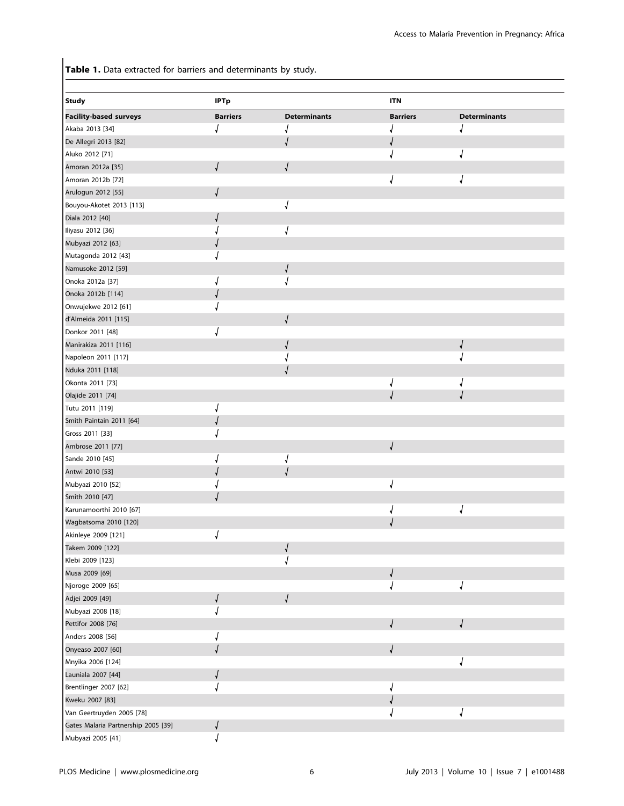Table 1. Data extracted for barriers and determinants by study.

| <b>Study</b>                        | <b>IPTp</b>     |                     | <b>ITN</b>      |                     |
|-------------------------------------|-----------------|---------------------|-----------------|---------------------|
| <b>Facility-based surveys</b>       | <b>Barriers</b> | <b>Determinants</b> | <b>Barriers</b> | <b>Determinants</b> |
| Akaba 2013 [34]                     |                 |                     |                 |                     |
| De Allegri 2013 [82]                |                 |                     |                 |                     |
| Aluko 2012 [71]                     |                 |                     |                 |                     |
| Amoran 2012a [35]                   | $\sqrt{ }$      | √                   |                 |                     |
| Amoran 2012b [72]                   |                 |                     |                 |                     |
| Arulogun 2012 [55]                  | J               |                     |                 |                     |
| Bouyou-Akotet 2013 [113]            |                 | $\sqrt{ }$          |                 |                     |
| Diala 2012 [40]                     |                 |                     |                 |                     |
| Iliyasu 2012 [36]                   |                 |                     |                 |                     |
| Mubyazi 2012 [63]                   |                 |                     |                 |                     |
| Mutagonda 2012 [43]                 |                 |                     |                 |                     |
| Namusoke 2012 [59]                  |                 | √                   |                 |                     |
| Onoka 2012a [37]                    |                 |                     |                 |                     |
| Onoka 2012b [114]                   |                 |                     |                 |                     |
| Onwujekwe 2012 [61]                 |                 |                     |                 |                     |
| d'Almeida 2011 [115]                |                 | J                   |                 |                     |
| Donkor 2011 [48]                    |                 |                     |                 |                     |
| Manirakiza 2011 [116]               |                 |                     |                 | √                   |
| Napoleon 2011 [117]                 |                 |                     |                 |                     |
| Nduka 2011 [118]                    |                 |                     |                 |                     |
| Okonta 2011 [73]                    |                 |                     |                 |                     |
| Olajide 2011 [74]                   |                 |                     |                 |                     |
| Tutu 2011 [119]                     |                 |                     |                 |                     |
| Smith Paintain 2011 [64]            |                 |                     |                 |                     |
| Gross 2011 [33]                     |                 |                     |                 |                     |
| Ambrose 2011 [77]                   |                 |                     | J               |                     |
| Sande 2010 [45]                     |                 |                     |                 |                     |
| Antwi 2010 [53]                     |                 |                     |                 |                     |
| Mubyazi 2010 [52]                   |                 |                     |                 |                     |
| Smith 2010 [47]                     |                 |                     |                 |                     |
| Karunamoorthi 2010 [67]             |                 |                     |                 |                     |
| Wagbatsoma 2010 [120]               |                 |                     |                 |                     |
| Akinleye 2009 [121]                 |                 |                     |                 |                     |
| Takem 2009 [122]                    |                 | √                   |                 |                     |
| Klebi 2009 [123]                    |                 |                     |                 |                     |
| Musa 2009 [69]                      |                 |                     | √               |                     |
| Njoroge 2009 [65]                   |                 |                     |                 | √                   |
| Adjei 2009 [49]                     | √               | √                   |                 |                     |
| Mubyazi 2008 [18]                   |                 |                     |                 |                     |
| Pettifor 2008 [76]                  |                 |                     | √               | √                   |
| Anders 2008 [56]                    |                 |                     |                 |                     |
| Onyeaso 2007 [60]                   |                 |                     | √               |                     |
| Mnyika 2006 [124]                   |                 |                     |                 |                     |
| Launiala 2007 [44]                  |                 |                     |                 |                     |
| Brentlinger 2007 [62]               |                 |                     |                 |                     |
| Kweku 2007 [83]                     |                 |                     |                 |                     |
| Van Geertruyden 2005 [78]           |                 |                     |                 | √                   |
| Gates Malaria Partnership 2005 [39] | √               |                     |                 |                     |
| Mubyazi 2005 [41]                   |                 |                     |                 |                     |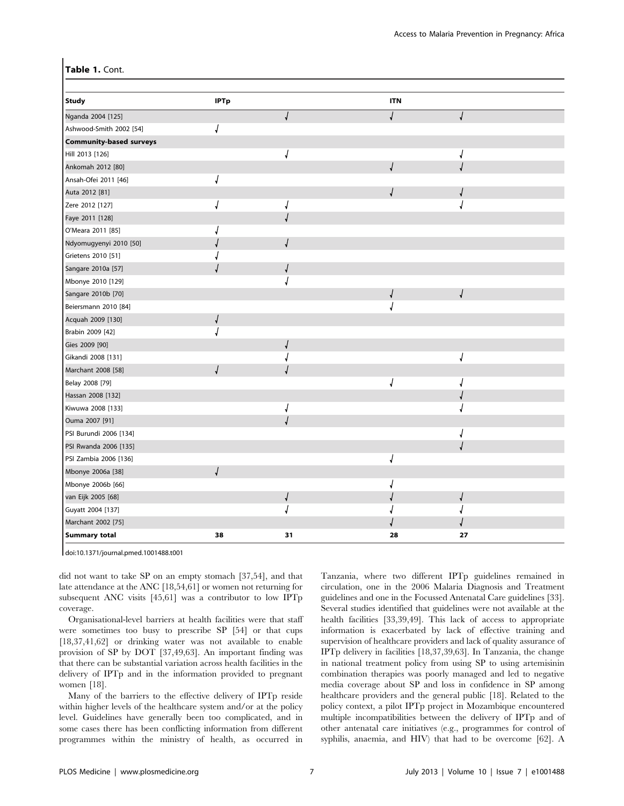### Table 1. Cont.

| Study                          | <b>IPTp</b> |    | <b>ITN</b> |            |
|--------------------------------|-------------|----|------------|------------|
| Nganda 2004 [125]              |             | J  | J          | $\sqrt{ }$ |
| Ashwood-Smith 2002 [54]        |             |    |            |            |
| <b>Community-based surveys</b> |             |    |            |            |
| Hill 2013 [126]                |             |    |            |            |
| Ankomah 2012 [80]              |             |    |            |            |
| Ansah-Ofei 2011 [46]           |             |    |            |            |
| Auta 2012 [81]                 |             |    |            |            |
| Zere 2012 [127]                |             |    |            |            |
| Faye 2011 [128]                |             |    |            |            |
| O'Meara 2011 [85]              |             |    |            |            |
| Ndyomugyenyi 2010 [50]         |             |    |            |            |
| Grietens 2010 [51]             |             |    |            |            |
| Sangare 2010a [57]             |             | √  |            |            |
| Mbonye 2010 [129]              |             |    |            |            |
| Sangare 2010b [70]             |             |    | √          | $\sqrt{ }$ |
| Beiersmann 2010 [84]           |             |    |            |            |
| Acquah 2009 [130]              | √           |    |            |            |
| Brabin 2009 [42]               |             |    |            |            |
| Gies 2009 [90]                 |             |    |            |            |
| Gikandi 2008 [131]             |             |    |            |            |
| Marchant 2008 [58]             | J           |    |            |            |
| Belay 2008 [79]                |             |    |            |            |
| Hassan 2008 [132]              |             |    |            |            |
| Kiwuwa 2008 [133]              |             |    |            |            |
| Ouma 2007 [91]                 |             |    |            |            |
| PSI Burundi 2006 [134]         |             |    |            |            |
| PSI Rwanda 2006 [135]          |             |    |            |            |
| PSI Zambia 2006 [136]          |             |    |            |            |
| Mbonye 2006a [38]              |             |    |            |            |
| Mbonye 2006b [66]              |             |    |            |            |
| van Eijk 2005 [68]             |             | √  |            | √          |
| Guyatt 2004 [137]              |             |    |            |            |
| Marchant 2002 [75]             |             |    |            |            |
| <b>Summary total</b>           | 38          | 31 | 28         | 27         |

doi:10.1371/journal.pmed.1001488.t001

did not want to take SP on an empty stomach [37,54], and that late attendance at the ANC [18,54,61] or women not returning for subsequent ANC visits [45,61] was a contributor to low IPTp coverage.

Organisational-level barriers at health facilities were that staff were sometimes too busy to prescribe SP [54] or that cups [18,37,41,62] or drinking water was not available to enable provision of SP by DOT [37,49,63]. An important finding was that there can be substantial variation across health facilities in the delivery of IPTp and in the information provided to pregnant women [18].

Many of the barriers to the effective delivery of IPTp reside within higher levels of the healthcare system and/or at the policy level. Guidelines have generally been too complicated, and in some cases there has been conflicting information from different programmes within the ministry of health, as occurred in Tanzania, where two different IPTp guidelines remained in circulation, one in the 2006 Malaria Diagnosis and Treatment guidelines and one in the Focussed Antenatal Care guidelines [33]. Several studies identified that guidelines were not available at the health facilities [33,39,49]. This lack of access to appropriate information is exacerbated by lack of effective training and supervision of healthcare providers and lack of quality assurance of IPTp delivery in facilities [18,37,39,63]. In Tanzania, the change in national treatment policy from using SP to using artemisinin combination therapies was poorly managed and led to negative media coverage about SP and loss in confidence in SP among healthcare providers and the general public [18]. Related to the policy context, a pilot IPTp project in Mozambique encountered multiple incompatibilities between the delivery of IPTp and of other antenatal care initiatives (e.g., programmes for control of syphilis, anaemia, and HIV) that had to be overcome [62]. A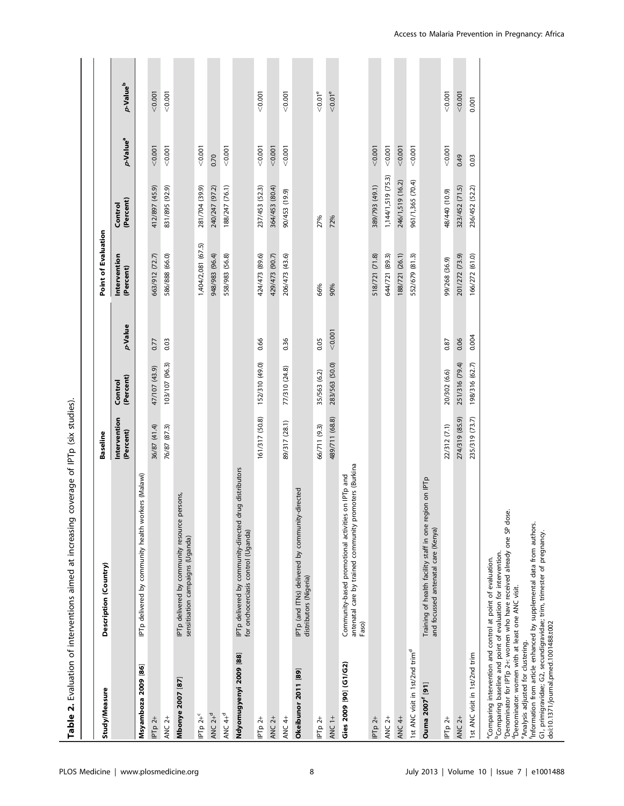|                                                                                                                                                                                                                                                                        | Table 2. Evaluation of interventions aimed at increasing                                                                                                                                                                                                         | coverage of IPTp (six studies). |                      |         |                            |                      |                      |                     |
|------------------------------------------------------------------------------------------------------------------------------------------------------------------------------------------------------------------------------------------------------------------------|------------------------------------------------------------------------------------------------------------------------------------------------------------------------------------------------------------------------------------------------------------------|---------------------------------|----------------------|---------|----------------------------|----------------------|----------------------|---------------------|
| Study/Measure                                                                                                                                                                                                                                                          | Description (Country)                                                                                                                                                                                                                                            | <b>Baseline</b>                 |                      |         | <b>Point of Evaluation</b> |                      |                      |                     |
|                                                                                                                                                                                                                                                                        |                                                                                                                                                                                                                                                                  | Intervention<br>(Percent)       | (Percent)<br>Control | p-Value | Intervention<br>(Percent)  | (Percent)<br>Control | p-Value <sup>a</sup> | $p$ -Value $^b$     |
| Msyamboza 2009 [86]                                                                                                                                                                                                                                                    | IPTp delivered by community health workers (Malawi)                                                                                                                                                                                                              |                                 |                      |         |                            |                      |                      |                     |
| PTp <sub>2+</sub>                                                                                                                                                                                                                                                      |                                                                                                                                                                                                                                                                  | 36/87 (41.4)                    | 47/107 (43.9)        | 0.77    | 663/912 (72.7)             | 412/897 (45.9)       | < 0.001              | < 0.001             |
| ANC 2+                                                                                                                                                                                                                                                                 |                                                                                                                                                                                                                                                                  | 76/87 (87.3)                    | 103/107 (96.3)       | 0.03    | 586/888 (66.0)             | 831/895 (92.9)       | < 0.001              | 0.001               |
| Mbonye 2007 [87]                                                                                                                                                                                                                                                       | IPTp delivered by community resource persons,<br>sensitisation campaigns (Uganda)                                                                                                                                                                                |                                 |                      |         |                            |                      |                      |                     |
| $P$ Tp $2+^c$                                                                                                                                                                                                                                                          |                                                                                                                                                                                                                                                                  |                                 |                      |         | 1,404/2,081 (67.5)         | 281/704 (39.9)       | < 0.001              |                     |
| ANC $2+^d$                                                                                                                                                                                                                                                             |                                                                                                                                                                                                                                                                  |                                 |                      |         | 948/983 (96.4)             | 240/247 (97.2)       | 0.70                 |                     |
| ANC $4+^d$                                                                                                                                                                                                                                                             |                                                                                                                                                                                                                                                                  |                                 |                      |         | 558/983 (56.8)             | 188/247 (76.1)       | < 0.001              |                     |
| Ndyomugyenyi 2009 [88]                                                                                                                                                                                                                                                 | IPTp delivered by community-directed drug distributors<br>for onchocerciasis control (Uganda)                                                                                                                                                                    |                                 |                      |         |                            |                      |                      |                     |
| $PTp2+$                                                                                                                                                                                                                                                                |                                                                                                                                                                                                                                                                  | 161/317 (50.8)                  | 152/310 (49.0)       | 0.66    | 424/473 (89.6)             | 237/453 (52.3)       | 0.001                | 0.001               |
| ANC 2+                                                                                                                                                                                                                                                                 |                                                                                                                                                                                                                                                                  |                                 |                      |         | 429/473 (90.7)             | 364/453 (80.4)       | < 0.001              |                     |
| ANC <sub>4+</sub>                                                                                                                                                                                                                                                      |                                                                                                                                                                                                                                                                  | 89/317 (28.1)                   | 77/310 (24.8)        | 0.36    | 206/473 (43.6)             | 90/453 (19.9)        | < 0.001              | 0.001               |
| <b>Okeibunor 2011 [89]</b>                                                                                                                                                                                                                                             | IPTp (and ITNs) delivered by community-directed<br>distributors (Nigeria)                                                                                                                                                                                        |                                 |                      |         |                            |                      |                      |                     |
| $PTp2+$                                                                                                                                                                                                                                                                |                                                                                                                                                                                                                                                                  | 66/711 (9.3)                    | 35/563 (6.2)         | 0.05    | 66%                        | 27%                  |                      | $<$ 0.01 $^{\circ}$ |
| ANC <sub>1+</sub>                                                                                                                                                                                                                                                      |                                                                                                                                                                                                                                                                  | 489/711 (68.8)                  | 283/563 (50.0)       | < 0.001 | 90%                        | 72%                  |                      | $<$ 0.01 $^{\circ}$ |
| Gies 2009 [90] (G1/G2)                                                                                                                                                                                                                                                 | antenatal care by trained community promoters (Burkina<br>Community-based promotional activities on IPTp and<br>Faso)                                                                                                                                            |                                 |                      |         |                            |                      |                      |                     |
| $PTp2+$                                                                                                                                                                                                                                                                |                                                                                                                                                                                                                                                                  |                                 |                      |         | 518/721 (71.8)             | 389/793 (49.1)       | < 0.001              |                     |
| ANC 2+                                                                                                                                                                                                                                                                 |                                                                                                                                                                                                                                                                  |                                 |                      |         | 644/721 (89.3)             | 1,144/1,519 (75.3)   | 0.001                |                     |
| ANC <sub>4+</sub>                                                                                                                                                                                                                                                      |                                                                                                                                                                                                                                                                  |                                 |                      |         | 188/721 (26.1)             | 246/1,519 (16.2)     | < 0.001              |                     |
| 1st ANC visit in 1st/2nd trim <sup>d</sup>                                                                                                                                                                                                                             |                                                                                                                                                                                                                                                                  |                                 |                      |         | 552/679 (81.3)             | 961/1,365 (70.4)     | < 0.001              |                     |
| Ouma 2007 <sup>f</sup> [91]                                                                                                                                                                                                                                            | Training of health facility staff in one region on IPTp<br>and focussed antenatal care (Kenya)                                                                                                                                                                   |                                 |                      |         |                            |                      |                      |                     |
| $PTp2+$                                                                                                                                                                                                                                                                |                                                                                                                                                                                                                                                                  | 22/312 (7.1)                    | 20/302 (6.6)         | 0.87    | 99/268 (36.9)              | 48/440 (10.9)        | < 0.001              | 0.001               |
| <b>ANC 2+</b>                                                                                                                                                                                                                                                          |                                                                                                                                                                                                                                                                  | 274/319 (85.9)                  | 251/316 (79.4)       | 0.06    | 201/272 (73.9)             | 323/452 (71.5)       | 0.49                 | < 0.001             |
| 1st ANC visit in 1st/2nd trim                                                                                                                                                                                                                                          |                                                                                                                                                                                                                                                                  | 235/319 (73.7)                  | 198/316 (62.7)       | 0.004   | 166/272 (61.0)             | 236/452 (52.2)       | 0.03                 | 0.001               |
| <sup>b</sup> Comparing baseline and point of evaluation for intervention.<br><sup>a</sup> Comparing intervention and control at point of evaluation.<br><sup>d</sup> Denominator: women with at least one ANC visit.<br><sup>e</sup> Analysis adjusted for clustering. | 'Denominator for IPTp 2+: women who have received already one SP dose.<br>Information from article enhanced by supplemental data from authors.<br>G1, primigravidae; G2, secundigravidae; trim, trimester of pregnancy.<br>doi:10.1371/journal.pmed.1001488.t002 |                                 |                      |         |                            |                      |                      |                     |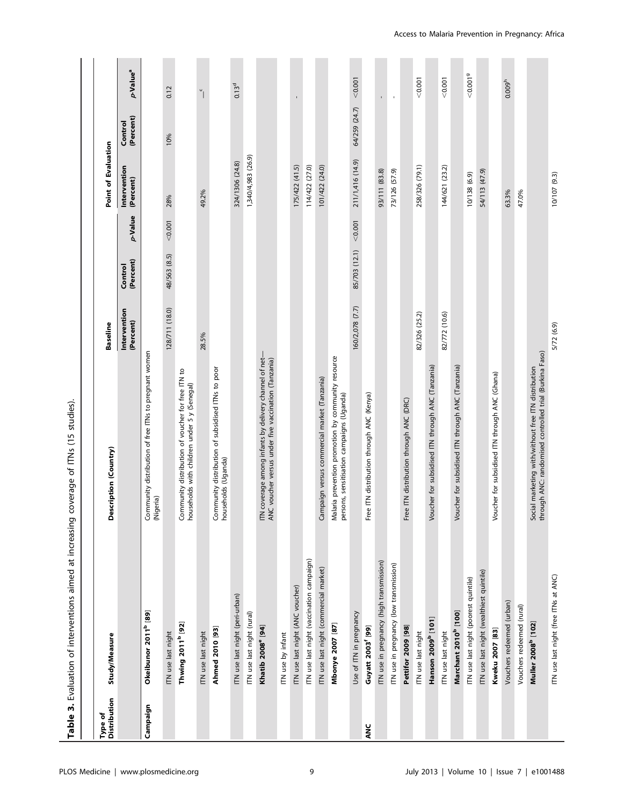| i                       | Figures of the control of the control of the control of the control of the control of the control of the control of the control of the control of the control of the control of the control of the control of the control of t | icalmate city carriers<br>Den Davr                                                                                                                                   |                           |                      |         |                           |                      |                      |
|-------------------------|--------------------------------------------------------------------------------------------------------------------------------------------------------------------------------------------------------------------------------|----------------------------------------------------------------------------------------------------------------------------------------------------------------------|---------------------------|----------------------|---------|---------------------------|----------------------|----------------------|
| Distribution<br>Type of | Study/Measure                                                                                                                                                                                                                  | Description (Country)                                                                                                                                                | Baseline                  |                      |         | Point of Evaluation       |                      |                      |
|                         |                                                                                                                                                                                                                                |                                                                                                                                                                      | Intervention<br>(Percent) | (Percent)<br>Control | p-Value | Intervention<br>(Percent) | (Percent)<br>Control | p-Value <sup>a</sup> |
| Campaign                | Okeibunor 2011 <sup>b</sup> [89]                                                                                                                                                                                               | Community distribution of free ITNs to pregnant women<br>(Nigeria)                                                                                                   |                           |                      |         |                           |                      |                      |
|                         | ITN use last night                                                                                                                                                                                                             |                                                                                                                                                                      | 128/711 (18.0)            | 48/563 (8.5)         | < 0.001 | 28%                       | 10%                  | 0.12                 |
|                         | Thwing 2011 <sup>b</sup> [92]                                                                                                                                                                                                  | Community distribution of voucher for free ITN to<br>households with children under 5 y (Senegal)                                                                    |                           |                      |         |                           |                      |                      |
|                         | ITN use last night                                                                                                                                                                                                             |                                                                                                                                                                      | 28.5%                     |                      |         | 49.2%                     |                      | $\mathbf{v}$         |
|                         | Ahmed 2010 [93]                                                                                                                                                                                                                | Community distribution of subsidised ITNs to poor<br>households (Uganda)                                                                                             |                           |                      |         |                           |                      |                      |
|                         | ITN use last night (peri-urban)                                                                                                                                                                                                |                                                                                                                                                                      |                           |                      |         | 324/1306 (24.8)           |                      | 0.13 <sup>d</sup>    |
|                         | ITN use last night (rural)                                                                                                                                                                                                     |                                                                                                                                                                      |                           |                      |         | 1,340/4,983 (26.9)        |                      |                      |
|                         | Khatib 2008 <sup>e</sup> [94]                                                                                                                                                                                                  | coverage among infants by delivery channel of net-<br>ITN coverage among infants by delivery channel of net-<br>ANC voucher versus under five vaccination (Tanzania) |                           |                      |         |                           |                      |                      |
|                         | ITN use by infant                                                                                                                                                                                                              |                                                                                                                                                                      |                           |                      |         |                           |                      |                      |
|                         | ITN use last night (ANC voucher)                                                                                                                                                                                               |                                                                                                                                                                      |                           |                      |         | 175/422 (41.5)            |                      |                      |
|                         | ITN use last night (vaccination campaign)                                                                                                                                                                                      |                                                                                                                                                                      |                           |                      |         | 114/422 (27.0)            |                      |                      |
|                         | ITN use last night (commercial market)                                                                                                                                                                                         | Campaign versus commercial market (Tanzania)                                                                                                                         |                           |                      |         | 101/422 (24.0)            |                      |                      |
|                         | Mbonye 2007 [87]                                                                                                                                                                                                               | Malaria prevention promotion by community resource<br>persons, sensitisation campaigns (Uganda)                                                                      |                           |                      |         |                           |                      |                      |
|                         | Use of ITN in pregnancy                                                                                                                                                                                                        |                                                                                                                                                                      | 160/2,078 (7.7)           | 85/703 (12.1)        | < 0.001 | 211/1,416 (14.9)          | 64/259 (24.7)        | < 0.001              |
| <b>NAC</b>              | Guyatt 2003 <sup>f</sup> [99]                                                                                                                                                                                                  | Free ITN distribution through ANC (Kenya)                                                                                                                            |                           |                      |         |                           |                      |                      |
|                         | ITN use in pregnancy (high transmission)                                                                                                                                                                                       |                                                                                                                                                                      |                           |                      |         | 93/111 (83.8)             |                      |                      |
|                         | ITN use in pregnancy (low transmission)                                                                                                                                                                                        |                                                                                                                                                                      |                           |                      |         | 73/126 (57.9)             |                      | $\mathbf{I}$         |
|                         | <b>Pettifor 2009 [98]</b>                                                                                                                                                                                                      | Free ITN distribution through ANC (DRC)                                                                                                                              |                           |                      |         |                           |                      |                      |
|                         | ITN use last night                                                                                                                                                                                                             |                                                                                                                                                                      | 82/326 (25.2)             |                      |         | 258/326 (79.1)            |                      | < 0.001              |
|                         | Hanson 2009 <sup>b</sup> [101]                                                                                                                                                                                                 | Voucher for subsidised ITN through ANC (Tanzania)                                                                                                                    |                           |                      |         |                           |                      |                      |
|                         | ITN use last night                                                                                                                                                                                                             |                                                                                                                                                                      | 82/772 (10.6)             |                      |         | 144/621 (23.2)            |                      | 0000                 |
|                         | Marchant 2010 <sup>b</sup> [100]                                                                                                                                                                                               | Voucher for subsidised ITN through ANC (Tanzania)                                                                                                                    |                           |                      |         |                           |                      |                      |
|                         | ITN use last night (poorest quintile)                                                                                                                                                                                          |                                                                                                                                                                      |                           |                      |         | 10/138 (6.9)              |                      | 610000               |
|                         | ITN use last night (wealthiest quintile)                                                                                                                                                                                       |                                                                                                                                                                      |                           |                      |         | 54/113 (47.9)             |                      |                      |
|                         | Kweku 2007 [83]                                                                                                                                                                                                                | Voucher for subsidised ITN through ANC (Ghana)                                                                                                                       |                           |                      |         |                           |                      |                      |
|                         | Vouchers redeemed (urban)                                                                                                                                                                                                      |                                                                                                                                                                      |                           |                      |         | 63.3%                     |                      | 0.009 <sup>h</sup>   |
|                         | Vouchers redeemed (rural)                                                                                                                                                                                                      |                                                                                                                                                                      |                           |                      |         | 47.0%                     |                      |                      |
|                         | Muller 2008 <sup>b</sup> [102]                                                                                                                                                                                                 | Social marketing with/without free ITN distribution<br>through ANC: randomised controlled trial (Burkina Faso)                                                       |                           |                      |         |                           |                      |                      |
|                         | ITN use last night (free ITNs at ANC)                                                                                                                                                                                          |                                                                                                                                                                      | 5/72 (6.9)                |                      |         | 10/107 (9.3)              |                      |                      |

# PLOS Medicine | www.plosmedicine.org | www.plosmedicine.org | 9 | 9 | July 2013 | Volume 10 | Issue 7 | e1001488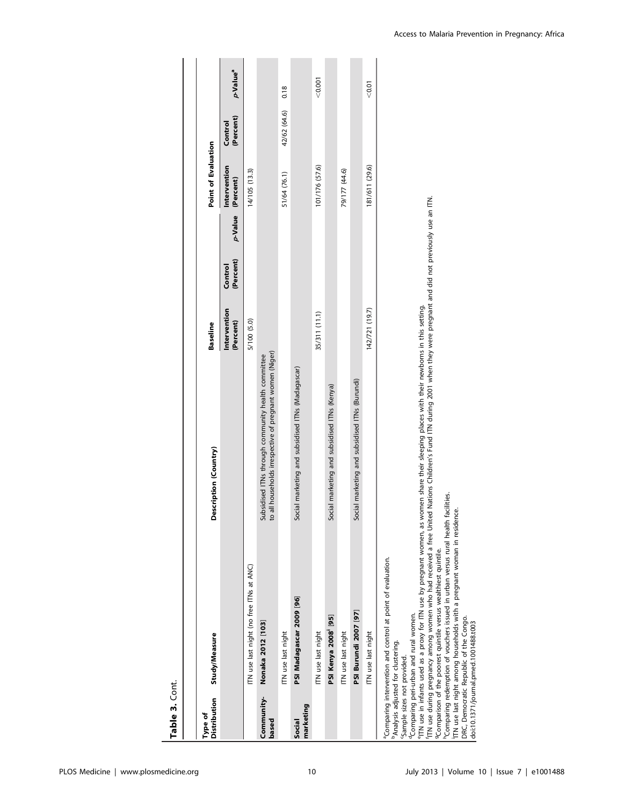| <b>Distribution</b><br>Type of | Study/Measure                                                                                                                                                                                                                                                                                                                                                                                                                                                                                                                 | Description (Country)                                                                                                                                                                                                                                                                                                  | <b>Baseline</b>           |                      |         | Point of Evaluation       |                      |                      |
|--------------------------------|-------------------------------------------------------------------------------------------------------------------------------------------------------------------------------------------------------------------------------------------------------------------------------------------------------------------------------------------------------------------------------------------------------------------------------------------------------------------------------------------------------------------------------|------------------------------------------------------------------------------------------------------------------------------------------------------------------------------------------------------------------------------------------------------------------------------------------------------------------------|---------------------------|----------------------|---------|---------------------------|----------------------|----------------------|
|                                |                                                                                                                                                                                                                                                                                                                                                                                                                                                                                                                               |                                                                                                                                                                                                                                                                                                                        | Intervention<br>(Percent) | (Percent)<br>Control | p-Value | Intervention<br>(Percent) | (Percent)<br>Control | p-Value <sup>a</sup> |
|                                | ITN use last night (no free ITNs at ANC)                                                                                                                                                                                                                                                                                                                                                                                                                                                                                      |                                                                                                                                                                                                                                                                                                                        | 5/100 (5.0)               |                      |         | 14/105(13.3)              |                      |                      |
| Community-<br>based            | Nonaka 2012 [103]                                                                                                                                                                                                                                                                                                                                                                                                                                                                                                             | to all households irrespective of pregnant women (Niger)<br>Subsidised ITNs through community health committee                                                                                                                                                                                                         |                           |                      |         |                           |                      |                      |
|                                | ITN use last night                                                                                                                                                                                                                                                                                                                                                                                                                                                                                                            |                                                                                                                                                                                                                                                                                                                        |                           |                      |         | 51/64 (76.1)              | 42/62 (64.6)         | 0.18                 |
| marketing<br>Social            | PSI Madagascar 2009 [96]                                                                                                                                                                                                                                                                                                                                                                                                                                                                                                      | Social marketing and subsidised ITNs (Madagascar)                                                                                                                                                                                                                                                                      |                           |                      |         |                           |                      |                      |
|                                | ITN use last night                                                                                                                                                                                                                                                                                                                                                                                                                                                                                                            |                                                                                                                                                                                                                                                                                                                        | 35/311 (11.1)             |                      |         | 101/176 (57.6)            |                      | 0.001                |
|                                | PSI Kenya 2008 [95]                                                                                                                                                                                                                                                                                                                                                                                                                                                                                                           | Social marketing and subsidised ITNs (Kenya)                                                                                                                                                                                                                                                                           |                           |                      |         |                           |                      |                      |
|                                | ITN use last night                                                                                                                                                                                                                                                                                                                                                                                                                                                                                                            |                                                                                                                                                                                                                                                                                                                        |                           |                      |         | 79/177 (44.6)             |                      |                      |
|                                | PSI Burundi 2007 [97]                                                                                                                                                                                                                                                                                                                                                                                                                                                                                                         | Social marketing and subsidised ITNs (Burundi)                                                                                                                                                                                                                                                                         |                           |                      |         |                           |                      |                      |
|                                | ITN use last night                                                                                                                                                                                                                                                                                                                                                                                                                                                                                                            |                                                                                                                                                                                                                                                                                                                        | 142/721 (19.7)            |                      |         | 181/611 (29.6)            |                      | 50.07                |
| Sample sizes not provided.     | <sup>h</sup> Comparing redemption of vouchers issued in urban versus rural health facilities.<br>ITN use last night among households with a pregnant woman in residence.<br><sup>9</sup> Comparison of the poorest quintile versus wealthiest quintile.<br><sup>a</sup> Comparing intervention and control at point of evaluation.<br><sup>d</sup> Comparing peri-urban and rural women.<br>DRC, Democratic Republic of the Congo.<br>doi:10.1371/journal.pmed.1001488.t003<br><sup>b</sup> Analysis adjusted for clustering. | ITN use during pregnancy among women who had received a free United Nations Children's Fund ITN during 2001 when they were pregnant and did not previously use an ITN.<br>"ITN use in infants used as a proxy for ITN use by pregnant women, as women share their sleeping places with their newborns in this setting. |                           |                      |         |                           |                      |                      |

Table 3. Cont. Table 3. Cont.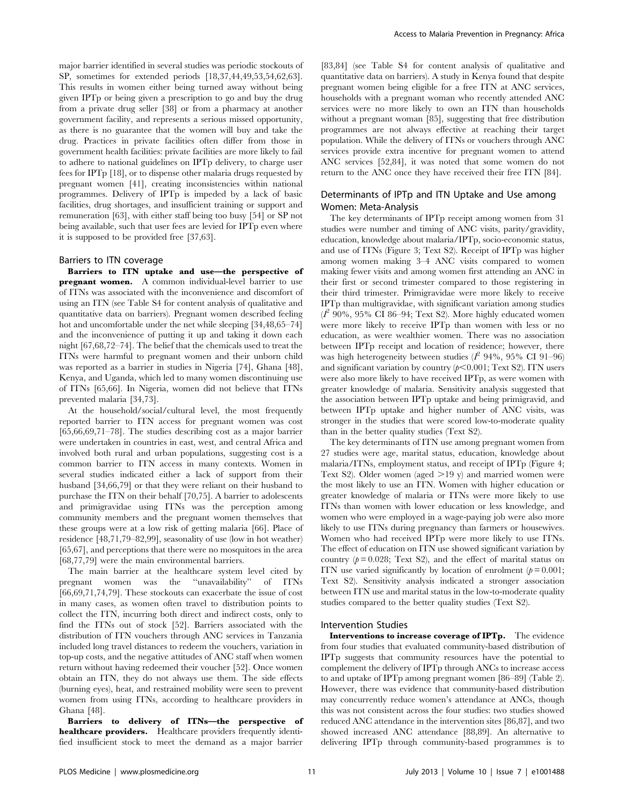major barrier identified in several studies was periodic stockouts of SP, sometimes for extended periods [18,37,44,49,53,54,62,63]. This results in women either being turned away without being given IPTp or being given a prescription to go and buy the drug from a private drug seller [38] or from a pharmacy at another government facility, and represents a serious missed opportunity, as there is no guarantee that the women will buy and take the drug. Practices in private facilities often differ from those in government health facilities: private facilities are more likely to fail to adhere to national guidelines on IPTp delivery, to charge user fees for IPTp [18], or to dispense other malaria drugs requested by pregnant women [41], creating inconsistencies within national programmes. Delivery of IPTp is impeded by a lack of basic facilities, drug shortages, and insufficient training or support and remuneration [63], with either staff being too busy [54] or SP not being available, such that user fees are levied for IPTp even where it is supposed to be provided free [37,63].

### Barriers to ITN coverage

Barriers to ITN uptake and use—the perspective of pregnant women. A common individual-level barrier to use of ITNs was associated with the inconvenience and discomfort of using an ITN (see Table S4 for content analysis of qualitative and quantitative data on barriers). Pregnant women described feeling hot and uncomfortable under the net while sleeping [34,48,65–74] and the inconvenience of putting it up and taking it down each night [67,68,72–74]. The belief that the chemicals used to treat the ITNs were harmful to pregnant women and their unborn child was reported as a barrier in studies in Nigeria [74], Ghana [48], Kenya, and Uganda, which led to many women discontinuing use of ITNs [65,66]. In Nigeria, women did not believe that ITNs prevented malaria [34,73].

At the household/social/cultural level, the most frequently reported barrier to ITN access for pregnant women was cost [65,66,69,71–78]. The studies describing cost as a major barrier were undertaken in countries in east, west, and central Africa and involved both rural and urban populations, suggesting cost is a common barrier to ITN access in many contexts. Women in several studies indicated either a lack of support from their husband [34,66,79] or that they were reliant on their husband to purchase the ITN on their behalf [70,75]. A barrier to adolescents and primigravidae using ITNs was the perception among community members and the pregnant women themselves that these groups were at a low risk of getting malaria [66]. Place of residence [48,71,79–82,99], seasonality of use (low in hot weather) [65,67], and perceptions that there were no mosquitoes in the area [68,77,79] were the main environmental barriers.

The main barrier at the healthcare system level cited by pregnant women was the ''unavailability'' of ITNs [66,69,71,74,79]. These stockouts can exacerbate the issue of cost in many cases, as women often travel to distribution points to collect the ITN, incurring both direct and indirect costs, only to find the ITNs out of stock [52]. Barriers associated with the distribution of ITN vouchers through ANC services in Tanzania included long travel distances to redeem the vouchers, variation in top-up costs, and the negative attitudes of ANC staff when women return without having redeemed their voucher [52]. Once women obtain an ITN, they do not always use them. The side effects (burning eyes), heat, and restrained mobility were seen to prevent women from using ITNs, according to healthcare providers in Ghana [48].

Barriers to delivery of ITNs—the perspective of healthcare providers. Healthcare providers frequently identified insufficient stock to meet the demand as a major barrier

[83,84] (see Table S4 for content analysis of qualitative and quantitative data on barriers). A study in Kenya found that despite pregnant women being eligible for a free ITN at ANC services, households with a pregnant woman who recently attended ANC services were no more likely to own an ITN than households without a pregnant woman [85], suggesting that free distribution programmes are not always effective at reaching their target population. While the delivery of ITNs or vouchers through ANC services provide extra incentive for pregnant women to attend ANC services [52,84], it was noted that some women do not return to the ANC once they have received their free ITN [84].

# Determinants of IPTp and ITN Uptake and Use among Women: Meta-Analysis

The key determinants of IPTp receipt among women from 31 studies were number and timing of ANC visits, parity/gravidity, education, knowledge about malaria/IPTp, socio-economic status, and use of ITNs (Figure 3; Text S2). Receipt of IPTp was higher among women making 3–4 ANC visits compared to women making fewer visits and among women first attending an ANC in their first or second trimester compared to those registering in their third trimester. Primigravidae were more likely to receive IPTp than multigravidae, with significant variation among studies  $(I^2$  90%, 95% CI 86-94; Text S2). More highly educated women were more likely to receive IPTp than women with less or no education, as were wealthier women. There was no association between IPTp receipt and location of residence; however, there was high heterogeneity between studies ( $l^2$  94%, 95% CI 91-96) and significant variation by country  $(p<0.001; \text{Text S2})$ . ITN users were also more likely to have received IPTp, as were women with greater knowledge of malaria. Sensitivity analysis suggested that the association between IPTp uptake and being primigravid, and between IPTp uptake and higher number of ANC visits, was stronger in the studies that were scored low-to-moderate quality than in the better quality studies (Text S2).

The key determinants of ITN use among pregnant women from 27 studies were age, marital status, education, knowledge about malaria/ITNs, employment status, and receipt of IPTp (Figure 4; Text S2). Older women (aged  $>19$  y) and married women were the most likely to use an ITN. Women with higher education or greater knowledge of malaria or ITNs were more likely to use ITNs than women with lower education or less knowledge, and women who were employed in a wage-paying job were also more likely to use ITNs during pregnancy than farmers or housewives. Women who had received IPTp were more likely to use ITNs. The effect of education on ITN use showed significant variation by country  $(p= 0.028; \text{Text } S2)$ , and the effect of marital status on ITN use varied significantly by location of enrolment  $(p = 0.001)$ ; Text S2). Sensitivity analysis indicated a stronger association between ITN use and marital status in the low-to-moderate quality studies compared to the better quality studies (Text S2).

#### Intervention Studies

Interventions to increase coverage of IPTp. The evidence from four studies that evaluated community-based distribution of IPTp suggests that community resources have the potential to complement the delivery of IPTp through ANCs to increase access to and uptake of IPTp among pregnant women [86–89] (Table 2). However, there was evidence that community-based distribution may concurrently reduce women's attendance at ANCs, though this was not consistent across the four studies: two studies showed reduced ANC attendance in the intervention sites [86,87], and two showed increased ANC attendance [88,89]. An alternative to delivering IPTp through community-based programmes is to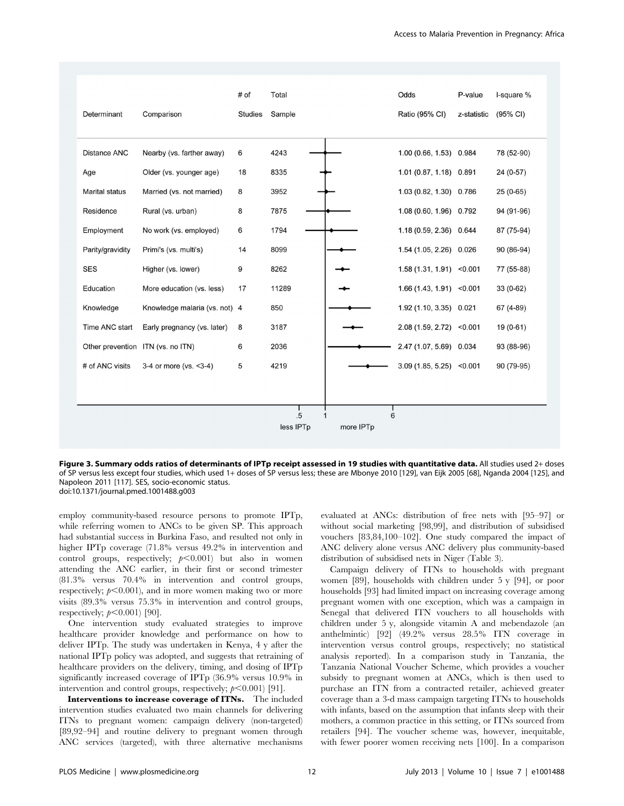|                       |                               | # of    | Total     |           | Odds                       | P-value     | I-square % |
|-----------------------|-------------------------------|---------|-----------|-----------|----------------------------|-------------|------------|
| Determinant           | Comparison                    | Studies | Sample    |           | Ratio (95% CI)             | z-statistic | (95% CI)   |
|                       |                               |         |           |           |                            |             |            |
| <b>Distance ANC</b>   | Nearby (vs. farther away)     | 6       | 4243      |           | 1.00 (0.66, 1.53) 0.984    |             | 78 (52-90) |
| Age                   | Older (vs. younger age)       | 18      | 8335      |           | 1.01 (0.87, 1.18) 0.891    |             | $24(0-57)$ |
| <b>Marital status</b> | Married (vs. not married)     | 8       | 3952      |           | 1.03 (0.82, 1.30) 0.786    |             | $25(0-65)$ |
| Residence             | Rural (vs. urban)             | 8       | 7875      |           | 1.08 (0.60, 1.96) 0.792    |             | 94 (91-96) |
| Employment            | No work (vs. employed)        | 6       | 1794      |           | 1.18 (0.59, 2.36) 0.644    |             | 87 (75-94) |
| Parity/gravidity      | Primi's (vs. multi's)         | 14      | 8099      |           | 1.54 (1.05, 2.26) 0.026    |             | 90 (86-94) |
| <b>SES</b>            | Higher (vs. lower)            | 9       | 8262      |           | $1.58(1.31, 1.91)$ < 0.001 |             | 77 (55-88) |
| Education             | More education (vs. less)     | 17      | 11289     |           | $1.66(1.43, 1.91)$ < 0.001 |             | $33(0-62)$ |
| Knowledge             | Knowledge malaria (vs. not) 4 |         | 850       |           | 1.92 (1.10, 3.35) 0.021    |             | 67 (4-89)  |
| Time ANC start        | Early pregnancy (vs. later)   | 8       | 3187      |           | $2.08(1.59, 2.72)$ < 0.001 |             | $19(0-61)$ |
| Other prevention      | ITN (vs. no ITN)              | 6       | 2036      |           | 2.47 (1.07, 5.69) 0.034    |             | 93 (88-96) |
| # of ANC visits       | 3-4 or more (vs. < 3-4)       | 5       | 4219      |           | $3.09(1.85, 5.25)$ < 0.001 |             | 90 (79-95) |
|                       |                               |         |           |           |                            |             |            |
|                       |                               |         | .5        | 6         |                            |             |            |
|                       |                               |         | less IPTp | more IPTp |                            |             |            |

Figure 3. Summary odds ratios of determinants of IPTp receipt assessed in 19 studies with quantitative data. All studies used 2+ doses of SP versus less except four studies, which used 1+ doses of SP versus less; these are Mbonye 2010 [129], van Eijk 2005 [68], Nganda 2004 [125], and Napoleon 2011 [117]. SES, socio-economic status. doi:10.1371/journal.pmed.1001488.g003

employ community-based resource persons to promote IPTp, while referring women to ANCs to be given SP. This approach had substantial success in Burkina Faso, and resulted not only in higher IPTp coverage (71.8% versus 49.2% in intervention and control groups, respectively;  $p<0.001$  but also in women attending the ANC earlier, in their first or second trimester (81.3% versus 70.4% in intervention and control groups, respectively;  $p<0.001$ ), and in more women making two or more visits (89.3% versus 75.3% in intervention and control groups, respectively;  $p<0.001$  [90].

One intervention study evaluated strategies to improve healthcare provider knowledge and performance on how to deliver IPTp. The study was undertaken in Kenya, 4 y after the national IPTp policy was adopted, and suggests that retraining of healthcare providers on the delivery, timing, and dosing of IPTp significantly increased coverage of IPTp (36.9% versus 10.9% in intervention and control groups, respectively;  $p<0.001$  [91].

Interventions to increase coverage of ITNs. The included intervention studies evaluated two main channels for delivering ITNs to pregnant women: campaign delivery (non-targeted) [89,92–94] and routine delivery to pregnant women through ANC services (targeted), with three alternative mechanisms evaluated at ANCs: distribution of free nets with [95–97] or without social marketing [98,99], and distribution of subsidised vouchers [83,84,100–102]. One study compared the impact of ANC delivery alone versus ANC delivery plus community-based distribution of subsidised nets in Niger (Table 3).

Campaign delivery of ITNs to households with pregnant women [89], households with children under 5 y [94], or poor households [93] had limited impact on increasing coverage among pregnant women with one exception, which was a campaign in Senegal that delivered ITN vouchers to all households with children under 5 y, alongside vitamin A and mebendazole (an anthelmintic) [92] (49.2% versus 28.5% ITN coverage in intervention versus control groups, respectively; no statistical analysis reported). In a comparison study in Tanzania, the Tanzania National Voucher Scheme, which provides a voucher subsidy to pregnant women at ANCs, which is then used to purchase an ITN from a contracted retailer, achieved greater coverage than a 3-d mass campaign targeting ITNs to households with infants, based on the assumption that infants sleep with their mothers, a common practice in this setting, or ITNs sourced from retailers [94]. The voucher scheme was, however, inequitable, with fewer poorer women receiving nets [100]. In a comparison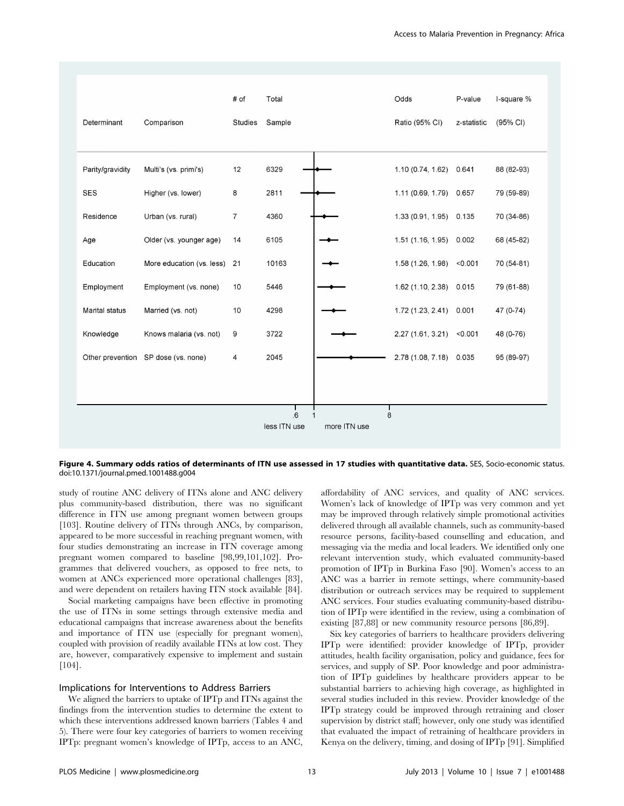

Figure 4. Summary odds ratios of determinants of ITN use assessed in 17 studies with quantitative data. SES, Socio-economic status. doi:10.1371/journal.pmed.1001488.g004

study of routine ANC delivery of ITNs alone and ANC delivery plus community-based distribution, there was no significant difference in ITN use among pregnant women between groups [103]. Routine delivery of ITNs through ANCs, by comparison, appeared to be more successful in reaching pregnant women, with four studies demonstrating an increase in ITN coverage among pregnant women compared to baseline [98,99,101,102]. Programmes that delivered vouchers, as opposed to free nets, to women at ANCs experienced more operational challenges [83], and were dependent on retailers having ITN stock available [84].

Social marketing campaigns have been effective in promoting the use of ITNs in some settings through extensive media and educational campaigns that increase awareness about the benefits and importance of ITN use (especially for pregnant women), coupled with provision of readily available ITNs at low cost. They are, however, comparatively expensive to implement and sustain [104].

# Implications for Interventions to Address Barriers

We aligned the barriers to uptake of IPTp and ITNs against the findings from the intervention studies to determine the extent to which these interventions addressed known barriers (Tables 4 and 5). There were four key categories of barriers to women receiving IPTp: pregnant women's knowledge of IPTp, access to an ANC, affordability of ANC services, and quality of ANC services. Women's lack of knowledge of IPTp was very common and yet may be improved through relatively simple promotional activities delivered through all available channels, such as community-based resource persons, facility-based counselling and education, and messaging via the media and local leaders. We identified only one relevant intervention study, which evaluated community-based promotion of IPTp in Burkina Faso [90]. Women's access to an ANC was a barrier in remote settings, where community-based distribution or outreach services may be required to supplement ANC services. Four studies evaluating community-based distribution of IPTp were identified in the review, using a combination of existing [87,88] or new community resource persons [86,89].

Six key categories of barriers to healthcare providers delivering IPTp were identified: provider knowledge of IPTp, provider attitudes, health facility organisation, policy and guidance, fees for services, and supply of SP. Poor knowledge and poor administration of IPTp guidelines by healthcare providers appear to be substantial barriers to achieving high coverage, as highlighted in several studies included in this review. Provider knowledge of the IPTp strategy could be improved through retraining and closer supervision by district staff; however, only one study was identified that evaluated the impact of retraining of healthcare providers in Kenya on the delivery, timing, and dosing of IPTp [91]. Simplified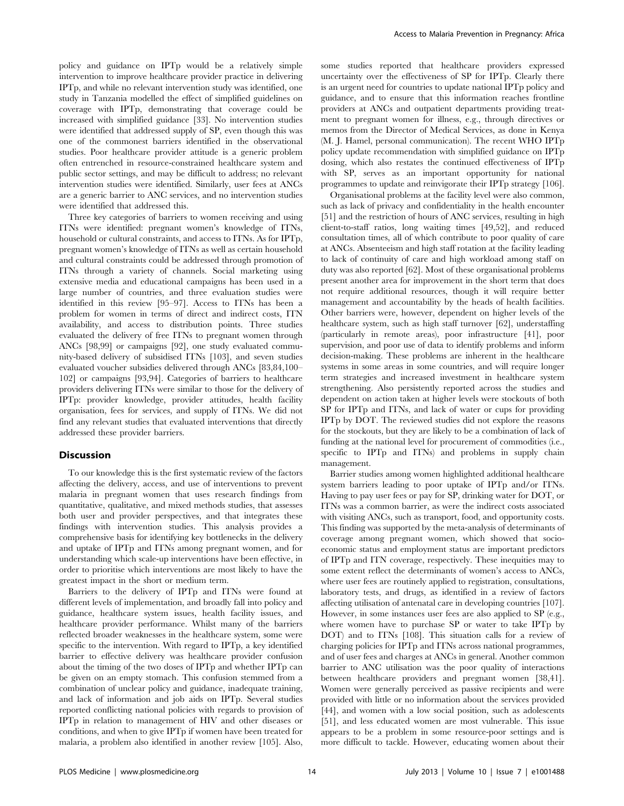policy and guidance on IPTp would be a relatively simple intervention to improve healthcare provider practice in delivering IPTp, and while no relevant intervention study was identified, one study in Tanzania modelled the effect of simplified guidelines on coverage with IPTp, demonstrating that coverage could be increased with simplified guidance [33]. No intervention studies were identified that addressed supply of SP, even though this was one of the commonest barriers identified in the observational studies. Poor healthcare provider attitude is a generic problem often entrenched in resource-constrained healthcare system and public sector settings, and may be difficult to address; no relevant intervention studies were identified. Similarly, user fees at ANCs are a generic barrier to ANC services, and no intervention studies were identified that addressed this.

Three key categories of barriers to women receiving and using ITNs were identified: pregnant women's knowledge of ITNs, household or cultural constraints, and access to ITNs. As for IPTp, pregnant women's knowledge of ITNs as well as certain household and cultural constraints could be addressed through promotion of ITNs through a variety of channels. Social marketing using extensive media and educational campaigns has been used in a large number of countries, and three evaluation studies were identified in this review [95–97]. Access to ITNs has been a problem for women in terms of direct and indirect costs, ITN availability, and access to distribution points. Three studies evaluated the delivery of free ITNs to pregnant women through ANCs [98,99] or campaigns [92], one study evaluated community-based delivery of subsidised ITNs [103], and seven studies evaluated voucher subsidies delivered through ANCs [83,84,100– 102] or campaigns [93,94]. Categories of barriers to healthcare providers delivering ITNs were similar to those for the delivery of IPTp: provider knowledge, provider attitudes, health facility organisation, fees for services, and supply of ITNs. We did not find any relevant studies that evaluated interventions that directly addressed these provider barriers.

# Discussion

To our knowledge this is the first systematic review of the factors affecting the delivery, access, and use of interventions to prevent malaria in pregnant women that uses research findings from quantitative, qualitative, and mixed methods studies, that assesses both user and provider perspectives, and that integrates these findings with intervention studies. This analysis provides a comprehensive basis for identifying key bottlenecks in the delivery and uptake of IPTp and ITNs among pregnant women, and for understanding which scale-up interventions have been effective, in order to prioritise which interventions are most likely to have the greatest impact in the short or medium term.

Barriers to the delivery of IPTp and ITNs were found at different levels of implementation, and broadly fall into policy and guidance, healthcare system issues, health facility issues, and healthcare provider performance. Whilst many of the barriers reflected broader weaknesses in the healthcare system, some were specific to the intervention. With regard to IPTp, a key identified barrier to effective delivery was healthcare provider confusion about the timing of the two doses of IPTp and whether IPTp can be given on an empty stomach. This confusion stemmed from a combination of unclear policy and guidance, inadequate training, and lack of information and job aids on IPTp. Several studies reported conflicting national policies with regards to provision of IPTp in relation to management of HIV and other diseases or conditions, and when to give IPTp if women have been treated for malaria, a problem also identified in another review [105]. Also,

some studies reported that healthcare providers expressed uncertainty over the effectiveness of SP for IPTp. Clearly there is an urgent need for countries to update national IPTp policy and guidance, and to ensure that this information reaches frontline providers at ANCs and outpatient departments providing treatment to pregnant women for illness, e.g., through directives or memos from the Director of Medical Services, as done in Kenya (M. J. Hamel, personal communication). The recent WHO IPTp policy update recommendation with simplified guidance on IPTp dosing, which also restates the continued effectiveness of IPTp with SP, serves as an important opportunity for national programmes to update and reinvigorate their IPTp strategy [106].

Organisational problems at the facility level were also common, such as lack of privacy and confidentiality in the health encounter [51] and the restriction of hours of ANC services, resulting in high client-to-staff ratios, long waiting times [49,52], and reduced consultation times, all of which contribute to poor quality of care at ANCs. Absenteeism and high staff rotation at the facility leading to lack of continuity of care and high workload among staff on duty was also reported [62]. Most of these organisational problems present another area for improvement in the short term that does not require additional resources, though it will require better management and accountability by the heads of health facilities. Other barriers were, however, dependent on higher levels of the healthcare system, such as high staff turnover [62], understaffing (particularly in remote areas), poor infrastructure [41], poor supervision, and poor use of data to identify problems and inform decision-making. These problems are inherent in the healthcare systems in some areas in some countries, and will require longer term strategies and increased investment in healthcare system strengthening. Also persistently reported across the studies and dependent on action taken at higher levels were stockouts of both SP for IPTp and ITNs, and lack of water or cups for providing IPTp by DOT. The reviewed studies did not explore the reasons for the stockouts, but they are likely to be a combination of lack of funding at the national level for procurement of commodities (i.e., specific to IPTp and ITNs) and problems in supply chain management.

Barrier studies among women highlighted additional healthcare system barriers leading to poor uptake of IPTp and/or ITNs. Having to pay user fees or pay for SP, drinking water for DOT, or ITNs was a common barrier, as were the indirect costs associated with visiting ANCs, such as transport, food, and opportunity costs. This finding was supported by the meta-analysis of determinants of coverage among pregnant women, which showed that socioeconomic status and employment status are important predictors of IPTp and ITN coverage, respectively. These inequities may to some extent reflect the determinants of women's access to ANCs, where user fees are routinely applied to registration, consultations, laboratory tests, and drugs, as identified in a review of factors affecting utilisation of antenatal care in developing countries [107]. However, in some instances user fees are also applied to SP (e.g., where women have to purchase SP or water to take IPTp by DOT) and to ITNs [108]. This situation calls for a review of charging policies for IPTp and ITNs across national programmes, and of user fees and charges at ANCs in general. Another common barrier to ANC utilisation was the poor quality of interactions between healthcare providers and pregnant women [38,41]. Women were generally perceived as passive recipients and were provided with little or no information about the services provided [44], and women with a low social position, such as adolescents [51], and less educated women are most vulnerable. This issue appears to be a problem in some resource-poor settings and is more difficult to tackle. However, educating women about their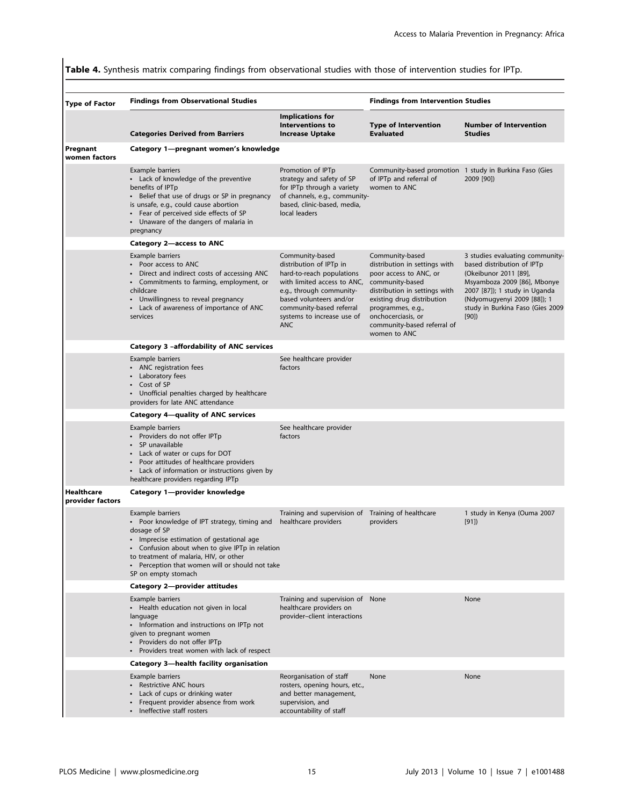Table 4. Synthesis matrix comparing findings from observational studies with those of intervention studies for IPTp.

| <b>Type of Factor</b>          | <b>Findings from Observational Studies</b>                                                                                                                                                                                                                                                           |                                                                                                                                                                                                                                       | <b>Findings from Intervention Studies</b>                                                                                                                                                                                                              |                                                                                                                                                                                                                                   |
|--------------------------------|------------------------------------------------------------------------------------------------------------------------------------------------------------------------------------------------------------------------------------------------------------------------------------------------------|---------------------------------------------------------------------------------------------------------------------------------------------------------------------------------------------------------------------------------------|--------------------------------------------------------------------------------------------------------------------------------------------------------------------------------------------------------------------------------------------------------|-----------------------------------------------------------------------------------------------------------------------------------------------------------------------------------------------------------------------------------|
|                                | <b>Categories Derived from Barriers</b>                                                                                                                                                                                                                                                              | <b>Implications for</b><br><b>Interventions to</b><br><b>Increase Uptake</b>                                                                                                                                                          | <b>Type of Intervention</b><br><b>Evaluated</b>                                                                                                                                                                                                        | <b>Number of Intervention</b><br><b>Studies</b>                                                                                                                                                                                   |
| Pregnant<br>women factors      | Category 1-pregnant women's knowledge                                                                                                                                                                                                                                                                |                                                                                                                                                                                                                                       |                                                                                                                                                                                                                                                        |                                                                                                                                                                                                                                   |
|                                | Example barriers<br>• Lack of knowledge of the preventive<br>benefits of IPTp<br>• Belief that use of drugs or SP in pregnancy<br>is unsafe, e.g., could cause abortion<br>• Fear of perceived side effects of SP<br>• Unaware of the dangers of malaria in<br>pregnancy                             | Promotion of IPTp<br>strategy and safety of SP<br>for IPTp through a variety<br>of channels, e.g., community-<br>based, clinic-based, media,<br>local leaders                                                                         | of IPTp and referral of<br>women to ANC                                                                                                                                                                                                                | Community-based promotion 1 study in Burkina Faso (Gies<br>2009 [90])                                                                                                                                                             |
|                                | Category 2-access to ANC                                                                                                                                                                                                                                                                             |                                                                                                                                                                                                                                       |                                                                                                                                                                                                                                                        |                                                                                                                                                                                                                                   |
|                                | Example barriers<br>• Poor access to ANC<br>Direct and indirect costs of accessing ANC<br>• Commitments to farming, employment, or<br>childcare<br>• Unwillingness to reveal pregnancy<br>• Lack of awareness of importance of ANC<br>services                                                       | Community-based<br>distribution of IPTp in<br>hard-to-reach populations<br>with limited access to ANC,<br>e.g., through community-<br>based volunteers and/or<br>community-based referral<br>systems to increase use of<br><b>ANC</b> | Community-based<br>distribution in settings with<br>poor access to ANC, or<br>community-based<br>distribution in settings with<br>existing drug distribution<br>programmes, e.g.,<br>onchocerciasis, or<br>community-based referral of<br>women to ANC | 3 studies evaluating community-<br>based distribution of IPTp<br>(Okeibunor 2011 [89],<br>Msyamboza 2009 [86], Mbonye<br>2007 [87]); 1 study in Uganda<br>(Ndyomugyenyi 2009 [88]); 1<br>study in Burkina Faso (Gies 2009<br>[90] |
|                                | Category 3 -affordability of ANC services                                                                                                                                                                                                                                                            |                                                                                                                                                                                                                                       |                                                                                                                                                                                                                                                        |                                                                                                                                                                                                                                   |
|                                | Example barriers<br>• ANC registration fees<br>• Laboratory fees<br>Cost of SP<br>• Unofficial penalties charged by healthcare<br>providers for late ANC attendance                                                                                                                                  | See healthcare provider<br>factors                                                                                                                                                                                                    |                                                                                                                                                                                                                                                        |                                                                                                                                                                                                                                   |
|                                | Category 4-quality of ANC services                                                                                                                                                                                                                                                                   |                                                                                                                                                                                                                                       |                                                                                                                                                                                                                                                        |                                                                                                                                                                                                                                   |
|                                | Example barriers<br>Providers do not offer IPTp<br>SP unavailable<br>Lack of water or cups for DOT<br>• Poor attitudes of healthcare providers<br>• Lack of information or instructions given by<br>healthcare providers regarding IPTp                                                              | See healthcare provider<br>factors                                                                                                                                                                                                    |                                                                                                                                                                                                                                                        |                                                                                                                                                                                                                                   |
| Healthcare<br>provider factors | Category 1-provider knowledge                                                                                                                                                                                                                                                                        |                                                                                                                                                                                                                                       |                                                                                                                                                                                                                                                        |                                                                                                                                                                                                                                   |
|                                | Example barriers<br>• Poor knowledge of IPT strategy, timing and<br>dosage of SP<br>• Imprecise estimation of gestational age<br>• Confusion about when to give IPTp in relation<br>to treatment of malaria, HIV, or other<br>• Perception that women will or should not take<br>SP on empty stomach | Training and supervision of Training of healthcare<br>healthcare providers                                                                                                                                                            | providers                                                                                                                                                                                                                                              | 1 study in Kenya (Ouma 2007<br>[91]                                                                                                                                                                                               |
|                                | <b>Category 2-provider attitudes</b>                                                                                                                                                                                                                                                                 |                                                                                                                                                                                                                                       |                                                                                                                                                                                                                                                        |                                                                                                                                                                                                                                   |
|                                | Example barriers<br>• Health education not given in local<br>language<br>• Information and instructions on IPTp not<br>given to pregnant women<br>• Providers do not offer IPTp<br>• Providers treat women with lack of respect                                                                      | Training and supervision of None<br>healthcare providers on<br>provider-client interactions                                                                                                                                           |                                                                                                                                                                                                                                                        | None                                                                                                                                                                                                                              |
|                                | Category 3-health facility organisation                                                                                                                                                                                                                                                              |                                                                                                                                                                                                                                       |                                                                                                                                                                                                                                                        |                                                                                                                                                                                                                                   |
|                                | Example barriers<br>Restrictive ANC hours<br>Lack of cups or drinking water<br>Frequent provider absence from work<br>Ineffective staff rosters                                                                                                                                                      | Reorganisation of staff<br>rosters, opening hours, etc.,<br>and better management,<br>supervision, and<br>accountability of staff                                                                                                     | None                                                                                                                                                                                                                                                   | None                                                                                                                                                                                                                              |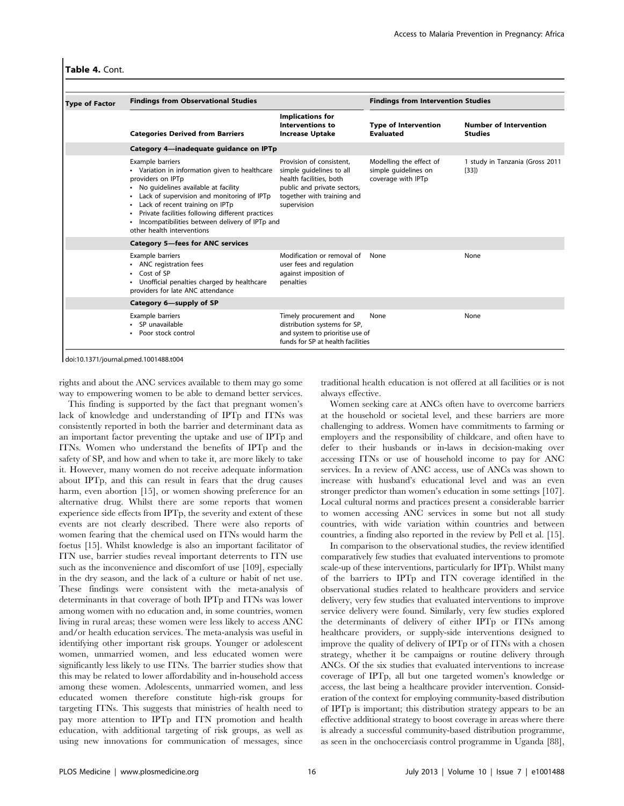#### Table 4. Cont.

| <b>Type of Factor</b> | <b>Findings from Observational Studies</b>                                                                                                                                                                                                                                                                                                          |                                                                                                                                                             | <b>Findings from Intervention Studies</b>                             |                                                 |
|-----------------------|-----------------------------------------------------------------------------------------------------------------------------------------------------------------------------------------------------------------------------------------------------------------------------------------------------------------------------------------------------|-------------------------------------------------------------------------------------------------------------------------------------------------------------|-----------------------------------------------------------------------|-------------------------------------------------|
|                       | <b>Categories Derived from Barriers</b>                                                                                                                                                                                                                                                                                                             | Implications for<br>Interventions to<br><b>Increase Uptake</b>                                                                                              | <b>Type of Intervention</b><br><b>Evaluated</b>                       | <b>Number of Intervention</b><br><b>Studies</b> |
|                       | Category 4-inadequate guidance on IPTp                                                                                                                                                                                                                                                                                                              |                                                                                                                                                             |                                                                       |                                                 |
|                       | Example barriers<br>• Variation in information given to healthcare<br>providers on IPTp<br>No quidelines available at facility<br>Lack of supervision and monitoring of IPTp<br>Lack of recent training on IPTp<br>Private facilities following different practices<br>Incompatibilities between delivery of IPTp and<br>other health interventions | Provision of consistent.<br>simple guidelines to all<br>health facilities, both<br>public and private sectors,<br>together with training and<br>supervision | Modelling the effect of<br>simple quidelines on<br>coverage with IPTp | 1 study in Tanzania (Gross 2011<br>[33]         |
|                       | <b>Category 5-fees for ANC services</b>                                                                                                                                                                                                                                                                                                             |                                                                                                                                                             |                                                                       |                                                 |
|                       | Example barriers<br>• ANC registration fees<br>• Cost of SP<br>• Unofficial penalties charged by healthcare<br>providers for late ANC attendance                                                                                                                                                                                                    | Modification or removal of<br>user fees and regulation<br>against imposition of<br>penalties                                                                | None                                                                  | None                                            |
|                       | Category 6-supply of SP                                                                                                                                                                                                                                                                                                                             |                                                                                                                                                             |                                                                       |                                                 |
|                       | Example barriers<br>SP unavailable<br>Poor stock control                                                                                                                                                                                                                                                                                            | Timely procurement and<br>distribution systems for SP,<br>and system to prioritise use of<br>funds for SP at health facilities                              | None                                                                  | None                                            |

doi:10.1371/journal.pmed.1001488.t004

rights and about the ANC services available to them may go some way to empowering women to be able to demand better services.

This finding is supported by the fact that pregnant women's lack of knowledge and understanding of IPTp and ITNs was consistently reported in both the barrier and determinant data as an important factor preventing the uptake and use of IPTp and ITNs. Women who understand the benefits of IPTp and the safety of SP, and how and when to take it, are more likely to take it. However, many women do not receive adequate information about IPTp, and this can result in fears that the drug causes harm, even abortion [15], or women showing preference for an alternative drug. Whilst there are some reports that women experience side effects from IPTp, the severity and extent of these events are not clearly described. There were also reports of women fearing that the chemical used on ITNs would harm the foetus [15]. Whilst knowledge is also an important facilitator of ITN use, barrier studies reveal important deterrents to ITN use such as the inconvenience and discomfort of use [109], especially in the dry season, and the lack of a culture or habit of net use. These findings were consistent with the meta-analysis of determinants in that coverage of both IPTp and ITNs was lower among women with no education and, in some countries, women living in rural areas; these women were less likely to access ANC and/or health education services. The meta-analysis was useful in identifying other important risk groups. Younger or adolescent women, unmarried women, and less educated women were significantly less likely to use ITNs. The barrier studies show that this may be related to lower affordability and in-household access among these women. Adolescents, unmarried women, and less educated women therefore constitute high-risk groups for targeting ITNs. This suggests that ministries of health need to pay more attention to IPTp and ITN promotion and health education, with additional targeting of risk groups, as well as using new innovations for communication of messages, since

traditional health education is not offered at all facilities or is not always effective.

Women seeking care at ANCs often have to overcome barriers at the household or societal level, and these barriers are more challenging to address. Women have commitments to farming or employers and the responsibility of childcare, and often have to defer to their husbands or in-laws in decision-making over accessing ITNs or use of household income to pay for ANC services. In a review of ANC access, use of ANCs was shown to increase with husband's educational level and was an even stronger predictor than women's education in some settings [107]. Local cultural norms and practices present a considerable barrier to women accessing ANC services in some but not all study countries, with wide variation within countries and between countries, a finding also reported in the review by Pell et al. [15].

In comparison to the observational studies, the review identified comparatively few studies that evaluated interventions to promote scale-up of these interventions, particularly for IPTp. Whilst many of the barriers to IPTp and ITN coverage identified in the observational studies related to healthcare providers and service delivery, very few studies that evaluated interventions to improve service delivery were found. Similarly, very few studies explored the determinants of delivery of either IPTp or ITNs among healthcare providers, or supply-side interventions designed to improve the quality of delivery of IPTp or of ITNs with a chosen strategy, whether it be campaigns or routine delivery through ANCs. Of the six studies that evaluated interventions to increase coverage of IPTp, all but one targeted women's knowledge or access, the last being a healthcare provider intervention. Consideration of the context for employing community-based distribution of IPTp is important; this distribution strategy appears to be an effective additional strategy to boost coverage in areas where there is already a successful community-based distribution programme, as seen in the onchocerciasis control programme in Uganda [88],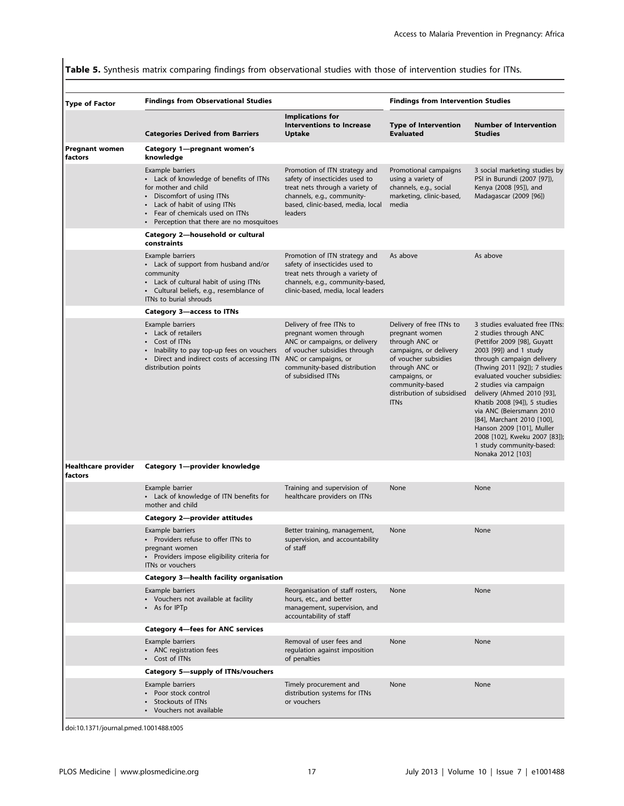Table 5. Synthesis matrix comparing findings from observational studies with those of intervention studies for ITNs.

| <b>Type of Factor</b>            | <b>Findings from Observational Studies</b>                                                                                                                                                                                               |                                                                                                                                                                                         | <b>Findings from Intervention Studies</b>                                                                                                                                                                         |                                                                                                                                                                                                                                                                                                                                                                                                                                                                                 |
|----------------------------------|------------------------------------------------------------------------------------------------------------------------------------------------------------------------------------------------------------------------------------------|-----------------------------------------------------------------------------------------------------------------------------------------------------------------------------------------|-------------------------------------------------------------------------------------------------------------------------------------------------------------------------------------------------------------------|---------------------------------------------------------------------------------------------------------------------------------------------------------------------------------------------------------------------------------------------------------------------------------------------------------------------------------------------------------------------------------------------------------------------------------------------------------------------------------|
|                                  | <b>Categories Derived from Barriers</b>                                                                                                                                                                                                  | <b>Implications for</b><br><b>Interventions to Increase</b><br>Uptake                                                                                                                   | <b>Type of Intervention</b><br><b>Evaluated</b>                                                                                                                                                                   | <b>Number of Intervention</b><br><b>Studies</b>                                                                                                                                                                                                                                                                                                                                                                                                                                 |
| <b>Pregnant women</b><br>factors | Category 1-pregnant women's<br>knowledge                                                                                                                                                                                                 |                                                                                                                                                                                         |                                                                                                                                                                                                                   |                                                                                                                                                                                                                                                                                                                                                                                                                                                                                 |
|                                  | Example barriers<br>• Lack of knowledge of benefits of ITNs<br>for mother and child<br>Discomfort of using ITNs<br>Lack of habit of using ITNs<br>$\bullet$<br>Fear of chemicals used on ITNs<br>Perception that there are no mosquitoes | Promotion of ITN strategy and<br>safety of insecticides used to<br>treat nets through a variety of<br>channels, e.g., community-<br>based, clinic-based, media, local<br><b>leaders</b> | Promotional campaigns<br>using a variety of<br>channels, e.g., social<br>marketing, clinic-based,<br>media                                                                                                        | 3 social marketing studies by<br>PSI in Burundi (2007 [97]),<br>Kenya (2008 [95]), and<br>Madagascar (2009 [96])                                                                                                                                                                                                                                                                                                                                                                |
|                                  | Category 2-household or cultural<br>constraints                                                                                                                                                                                          |                                                                                                                                                                                         |                                                                                                                                                                                                                   |                                                                                                                                                                                                                                                                                                                                                                                                                                                                                 |
|                                  | Example barriers<br>• Lack of support from husband and/or<br>community<br>• Lack of cultural habit of using ITNs<br>• Cultural beliefs, e.g., resemblance of<br>ITNs to burial shrouds                                                   | Promotion of ITN strategy and<br>safety of insecticides used to<br>treat nets through a variety of<br>channels, e.g., community-based,<br>clinic-based, media, local leaders            | As above                                                                                                                                                                                                          | As above                                                                                                                                                                                                                                                                                                                                                                                                                                                                        |
|                                  | Category 3-access to ITNs                                                                                                                                                                                                                |                                                                                                                                                                                         |                                                                                                                                                                                                                   |                                                                                                                                                                                                                                                                                                                                                                                                                                                                                 |
|                                  | Example barriers<br>Lack of retailers<br>Cost of ITNs<br>Inability to pay top-up fees on vouchers<br>Direct and indirect costs of accessing ITN ANC or campaigns, or<br>distribution points                                              | Delivery of free ITNs to<br>pregnant women through<br>ANC or campaigns, or delivery<br>of voucher subsidies through<br>community-based distribution<br>of subsidised ITNs               | Delivery of free ITNs to<br>pregnant women<br>through ANC or<br>campaigns, or delivery<br>of voucher subsidies<br>through ANC or<br>campaigns, or<br>community-based<br>distribution of subsidised<br><b>ITNs</b> | 3 studies evaluated free ITNs:<br>2 studies through ANC<br>(Pettifor 2009 [98], Guyatt<br>2003 [99]) and 1 study<br>through campaign delivery<br>(Thwing 2011 [92]); 7 studies<br>evaluated voucher subsidies:<br>2 studies via campaign<br>delivery (Ahmed 2010 [93],<br>Khatib 2008 [94]), 5 studies<br>via ANC (Beiersmann 2010<br>[84], Marchant 2010 [100],<br>Hanson 2009 [101], Muller<br>2008 [102], Kweku 2007 [83]);<br>1 study community-based:<br>Nonaka 2012 [103] |
| Healthcare provider<br>factors   | Category 1-provider knowledge                                                                                                                                                                                                            |                                                                                                                                                                                         |                                                                                                                                                                                                                   |                                                                                                                                                                                                                                                                                                                                                                                                                                                                                 |
|                                  | Example barrier<br>• Lack of knowledge of ITN benefits for<br>mother and child                                                                                                                                                           | Training and supervision of<br>healthcare providers on ITNs                                                                                                                             | None                                                                                                                                                                                                              | None                                                                                                                                                                                                                                                                                                                                                                                                                                                                            |
|                                  | <b>Category 2-provider attitudes</b>                                                                                                                                                                                                     |                                                                                                                                                                                         |                                                                                                                                                                                                                   |                                                                                                                                                                                                                                                                                                                                                                                                                                                                                 |
|                                  | Example barriers<br>• Providers refuse to offer ITNs to<br>pregnant women<br>• Providers impose eligibility criteria for<br>ITNs or vouchers                                                                                             | Better training, management,<br>supervision, and accountability<br>of staff                                                                                                             | None                                                                                                                                                                                                              | None                                                                                                                                                                                                                                                                                                                                                                                                                                                                            |
|                                  | Category 3-health facility organisation                                                                                                                                                                                                  |                                                                                                                                                                                         |                                                                                                                                                                                                                   |                                                                                                                                                                                                                                                                                                                                                                                                                                                                                 |
|                                  | Example barriers<br>• Vouchers not available at facility<br>• As for IPTp                                                                                                                                                                | Reorganisation of staff rosters,<br>hours, etc., and better<br>management, supervision, and<br>accountability of staff                                                                  | None                                                                                                                                                                                                              | None                                                                                                                                                                                                                                                                                                                                                                                                                                                                            |
|                                  | Category 4-fees for ANC services                                                                                                                                                                                                         |                                                                                                                                                                                         |                                                                                                                                                                                                                   |                                                                                                                                                                                                                                                                                                                                                                                                                                                                                 |
|                                  | Example barriers<br>• ANC registration fees<br>• Cost of ITNs                                                                                                                                                                            | Removal of user fees and<br>regulation against imposition<br>of penalties                                                                                                               | None                                                                                                                                                                                                              | None                                                                                                                                                                                                                                                                                                                                                                                                                                                                            |
|                                  | Category 5-supply of ITNs/vouchers                                                                                                                                                                                                       |                                                                                                                                                                                         |                                                                                                                                                                                                                   |                                                                                                                                                                                                                                                                                                                                                                                                                                                                                 |
|                                  | Example barriers<br>• Poor stock control<br>Stockouts of ITNs<br>Vouchers not available                                                                                                                                                  | Timely procurement and<br>distribution systems for ITNs<br>or vouchers                                                                                                                  | None                                                                                                                                                                                                              | None                                                                                                                                                                                                                                                                                                                                                                                                                                                                            |

doi:10.1371/journal.pmed.1001488.t005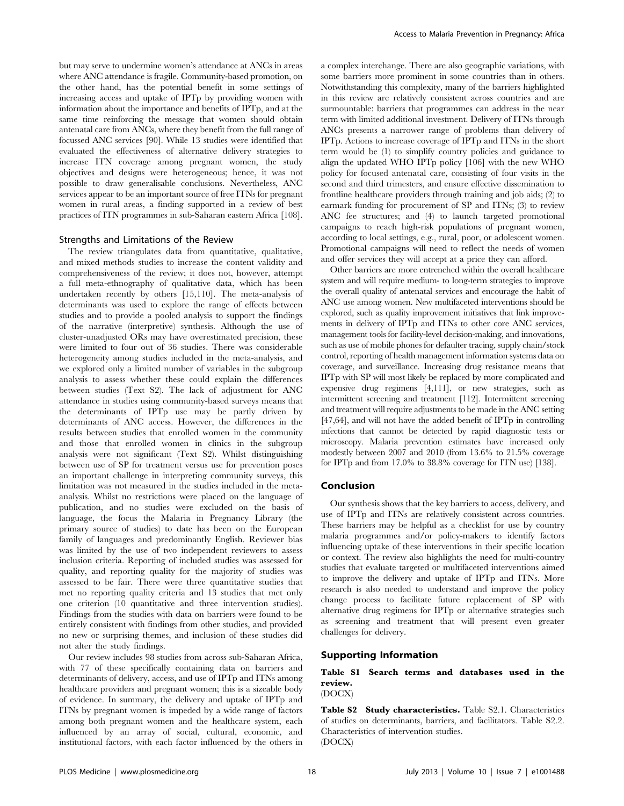but may serve to undermine women's attendance at ANCs in areas where ANC attendance is fragile. Community-based promotion, on the other hand, has the potential benefit in some settings of increasing access and uptake of IPTp by providing women with information about the importance and benefits of IPTp, and at the same time reinforcing the message that women should obtain antenatal care from ANCs, where they benefit from the full range of focussed ANC services [90]. While 13 studies were identified that evaluated the effectiveness of alternative delivery strategies to increase ITN coverage among pregnant women, the study objectives and designs were heterogeneous; hence, it was not possible to draw generalisable conclusions. Nevertheless, ANC services appear to be an important source of free ITNs for pregnant women in rural areas, a finding supported in a review of best practices of ITN programmes in sub-Saharan eastern Africa [108].

### Strengths and Limitations of the Review

The review triangulates data from quantitative, qualitative, and mixed methods studies to increase the content validity and comprehensiveness of the review; it does not, however, attempt a full meta-ethnography of qualitative data, which has been undertaken recently by others [15,110]. The meta-analysis of determinants was used to explore the range of effects between studies and to provide a pooled analysis to support the findings of the narrative (interpretive) synthesis. Although the use of cluster-unadjusted ORs may have overestimated precision, these were limited to four out of 36 studies. There was considerable heterogeneity among studies included in the meta-analysis, and we explored only a limited number of variables in the subgroup analysis to assess whether these could explain the differences between studies (Text S2). The lack of adjustment for ANC attendance in studies using community-based surveys means that the determinants of IPTp use may be partly driven by determinants of ANC access. However, the differences in the results between studies that enrolled women in the community and those that enrolled women in clinics in the subgroup analysis were not significant (Text S2). Whilst distinguishing between use of SP for treatment versus use for prevention poses an important challenge in interpreting community surveys, this limitation was not measured in the studies included in the metaanalysis. Whilst no restrictions were placed on the language of publication, and no studies were excluded on the basis of language, the focus the Malaria in Pregnancy Library (the primary source of studies) to date has been on the European family of languages and predominantly English. Reviewer bias was limited by the use of two independent reviewers to assess inclusion criteria. Reporting of included studies was assessed for quality, and reporting quality for the majority of studies was assessed to be fair. There were three quantitative studies that met no reporting quality criteria and 13 studies that met only one criterion (10 quantitative and three intervention studies). Findings from the studies with data on barriers were found to be entirely consistent with findings from other studies, and provided no new or surprising themes, and inclusion of these studies did not alter the study findings.

Our review includes 98 studies from across sub-Saharan Africa, with 77 of these specifically containing data on barriers and determinants of delivery, access, and use of IPTp and ITNs among healthcare providers and pregnant women; this is a sizeable body of evidence. In summary, the delivery and uptake of IPTp and ITNs by pregnant women is impeded by a wide range of factors among both pregnant women and the healthcare system, each influenced by an array of social, cultural, economic, and institutional factors, with each factor influenced by the others in a complex interchange. There are also geographic variations, with some barriers more prominent in some countries than in others. Notwithstanding this complexity, many of the barriers highlighted in this review are relatively consistent across countries and are surmountable: barriers that programmes can address in the near term with limited additional investment. Delivery of ITNs through ANCs presents a narrower range of problems than delivery of IPTp. Actions to increase coverage of IPTp and ITNs in the short term would be (1) to simplify country policies and guidance to align the updated WHO IPTp policy [106] with the new WHO policy for focused antenatal care, consisting of four visits in the second and third trimesters, and ensure effective dissemination to frontline healthcare providers through training and job aids; (2) to earmark funding for procurement of SP and ITNs; (3) to review ANC fee structures; and (4) to launch targeted promotional campaigns to reach high-risk populations of pregnant women, according to local settings, e.g., rural, poor, or adolescent women. Promotional campaigns will need to reflect the needs of women and offer services they will accept at a price they can afford.

Other barriers are more entrenched within the overall healthcare system and will require medium- to long-term strategies to improve the overall quality of antenatal services and encourage the habit of ANC use among women. New multifaceted interventions should be explored, such as quality improvement initiatives that link improvements in delivery of IPTp and ITNs to other core ANC services, management tools for facility-level decision-making, and innovations, such as use of mobile phones for defaulter tracing, supply chain/stock control, reporting of health management information systems data on coverage, and surveillance. Increasing drug resistance means that IPTp with SP will most likely be replaced by more complicated and expensive drug regimens [4,111], or new strategies, such as intermittent screening and treatment [112]. Intermittent screening and treatment will require adjustments to be made in the ANC setting [47,64], and will not have the added benefit of IPTp in controlling infections that cannot be detected by rapid diagnostic tests or microscopy. Malaria prevention estimates have increased only modestly between 2007 and 2010 (from 13.6% to 21.5% coverage for IPTp and from 17.0% to 38.8% coverage for ITN use) [138].

### Conclusion

Our synthesis shows that the key barriers to access, delivery, and use of IPTp and ITNs are relatively consistent across countries. These barriers may be helpful as a checklist for use by country malaria programmes and/or policy-makers to identify factors influencing uptake of these interventions in their specific location or context. The review also highlights the need for multi-country studies that evaluate targeted or multifaceted interventions aimed to improve the delivery and uptake of IPTp and ITNs. More research is also needed to understand and improve the policy change process to facilitate future replacement of SP with alternative drug regimens for IPTp or alternative strategies such as screening and treatment that will present even greater challenges for delivery.

### Supporting Information

Table S1 Search terms and databases used in the review. (DOCX)

Table S2 Study characteristics. Table S2.1. Characteristics of studies on determinants, barriers, and facilitators. Table S2.2. Characteristics of intervention studies. (DOCX)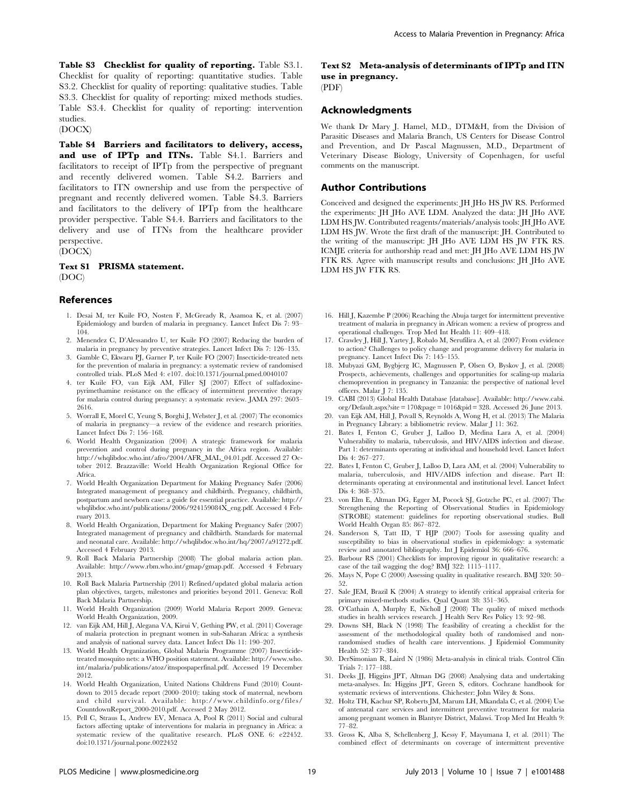Table S3 Checklist for quality of reporting. Table S3.1. Checklist for quality of reporting: quantitative studies. Table S3.2. Checklist for quality of reporting: qualitative studies. Table S3.3. Checklist for quality of reporting: mixed methods studies. Table S3.4. Checklist for quality of reporting: intervention studies.

(DOCX)

Table S4 Barriers and facilitators to delivery, access, and use of IPTp and ITNs. Table S4.1. Barriers and facilitators to receipt of IPTp from the perspective of pregnant and recently delivered women. Table S4.2. Barriers and facilitators to ITN ownership and use from the perspective of pregnant and recently delivered women. Table S4.3. Barriers and facilitators to the delivery of IPTp from the healthcare provider perspective. Table S4.4. Barriers and facilitators to the delivery and use of ITNs from the healthcare provider perspective.

(DOCX)

# Text S1 PRISMA statement.

(DOC)

#### References

- 1. Desai M, ter Kuile FO, Nosten F, McGready R, Asamoa K, et al. (2007) Epidemiology and burden of malaria in pregnancy. Lancet Infect Dis 7: 93– 104.
- 2. Menendez C, D'Alessandro U, ter Kuile FO (2007) Reducing the burden of malaria in pregnancy by preventive strategies. Lancet Infect Dis 7: 126–135.
- 3. Gamble C, Ekwaru PJ, Garner P, ter Kuile FO (2007) Insecticide-treated nets for the prevention of malaria in pregnancy: a systematic review of randomised controlled trials. PLoS Med 4: e107. doi:10.1371/journal.pmed.0040107
- 4. ter Kuile FO, van Eijk AM, Filler SJ (2007) Effect of sulfadoxinepyrimethamine resistance on the efficacy of intermittent preventive therapy for malaria control during pregnancy: a systematic review. JAMA 297: 2603– 2616.
- 5. Worrall E, Morel C, Yeung S, Borghi J, Webster J, et al. (2007) The economics of malaria in pregnancy—a review of the evidence and research priorities. Lancet Infect Dis 7: 156–168.
- 6. World Health Organization (2004) A strategic framework for malaria prevention and control during pregnancy in the Africa region. Available: http://whqlibdoc.who.int/afro/2004/AFR\_MAL\_04.01.pdf. Accessed 27 October 2012. Brazzaville: World Health Organization Regional Office for Africa.
- 7. World Health Organization Department for Making Pregnancy Safer (2006) Integrated management of pregnancy and childbirth. Pregnancy, childbirth, postpartum and newborn case: a guide for essential practice. Available: http:// whqlibdoc.who.int/publications/2006/924159084X\_eng.pdf. Accessed 4 February 2013.
- 8. World Health Organization, Department for Making Pregnancy Safer (2007) Integrated management of pregnancy and childbirth. Standards for maternal and neonatal care. Available: http://whqlibdoc.who.int/hq/2007/a91272.pdf. Accessed 4 February 2013.
- 9. Roll Back Malaria Partnership (2008) The global malaria action plan. Available: http://www.rbm.who.int/gmap/gmap.pdf. Accessed 4 February 2013.
- 10. Roll Back Malaria Partnership (2011) Refined/updated global malaria action plan objectives, targets, milestones and priorities beyond 2011. Geneva: Roll Back Malaria Partnership.
- 11. World Health Organization (2009) World Malaria Report 2009. Geneva: World Health Organization, 2009.
- 12. van Eijk AM, Hill J, Alegana VA, Kirui V, Gething PW, et al. (2011) Coverage of malaria protection in pregnant women in sub-Saharan Africa: a synthesis and analysis of national survey data. Lancet Infect Dis 11: 190–207.
- 13. World Health Organization, Global Malaria Programme (2007) Insecticidetreated mosquito nets: a WHO position statement. Available: http://www.who. int/malaria/publications/atoz/itnspospaperfinal.pdf. Accessed 19 December 2012.
- 14. World Health Organization, United Nations Childrens Fund (2010) Countdown to 2015 decade report (2000–2010): taking stock of maternal, newborn and child survival. Available: http://www.childinfo.org/files/ CountdownReport\_2000-2010.pdf. Accessed 2 May 2012.
- 15. Pell C, Straus L, Andrew EV, Menaca A, Pool R (2011) Social and cultural factors affecting uptake of interventions for malaria in pregnancy in Africa: a systematic review of the qualitative research. PLoS ONE 6: e22452. doi:10.1371/journal.pone.0022452

# Text S2 Meta-analysis of determinants of IPTp and ITN use in pregnancy.

(PDF)

### Acknowledgments

We thank Dr Mary J. Hamel, M.D., DTM&H, from the Division of Parasitic Diseases and Malaria Branch, US Centers for Disease Control and Prevention, and Dr Pascal Magnussen, M.D., Department of Veterinary Disease Biology, University of Copenhagen, for useful comments on the manuscript.

## Author Contributions

Conceived and designed the experiments: JH JHo HS JW RS. Performed the experiments: JH JHo AVE LDM. Analyzed the data: JH JHo AVE LDM HS JW. Contributed reagents/materials/analysis tools: JH JHo AVE LDM HS JW. Wrote the first draft of the manuscript: JH. Contributed to the writing of the manuscript: JH JHo AVE LDM HS JW FTK RS. ICMJE criteria for authorship read and met: JH JHo AVE LDM HS JW FTK RS. Agree with manuscript results and conclusions: JH JHo AVE LDM HS JW FTK RS.

- 16. Hill J, Kazembe P (2006) Reaching the Abuja target for intermittent preventive treatment of malaria in pregnancy in African women: a review of progress and operational challenges. Trop Med Int Health 11: 409–418.
- 17. Crawley J, Hill J, Yartey J, Robalo M, Serufilira A, et al. (2007) From evidence to action? Challenges to policy change and programme delivery for malaria in pregnancy. Lancet Infect Dis 7: 145–155.
- 18. Mubyazi GM, Bygbjerg IC, Magnussen P, Olsen O, Byskov J, et al. (2008) Prospects, achievements, challenges and opportunities for scaling-up malaria chemoprevention in pregnancy in Tanzania: the perspective of national level officers. Malar J 7: 135.
- 19. CABI (2013) Global Health Database [database]. Available: http://www.cabi. org/Default.aspx?site = 170&page = 1016&pid = 328. Accessed 26 June 2013.
- 20. van Eijk AM, Hill J, Povall S, Reynolds A, Wong H, et al. (2013) The Malaria in Pregnancy Library: a bibliometric review. Malar J 11: 362.
- 21. Bates I, Fenton C, Gruber J, Lalloo D, Medina Lara A, et al. (2004) Vulnerability to malaria, tuberculosis, and HIV/AIDS infection and disease. Part 1: determinants operating at individual and household level. Lancet Infect Dis 4: 267–277.
- 22. Bates I, Fenton C, Gruber J, Lalloo D, Lara AM, et al. (2004) Vulnerability to malaria, tuberculosis, and HIV/AIDS infection and disease. Part II: determinants operating at environmental and institutional level. Lancet Infect Dis 4: 368–375.
- 23. von Elm E, Altman DG, Egger M, Pocock SJ, Gotzche PC, et al. (2007) The Strengthening the Reporting of Observational Studies in Epidemiology (STROBE) statement: guidelines for reporting observational studies. Bull World Health Organ 85: 867–872.
- 24. Sanderson S, Tatt ID, T HJP (2007) Tools for assessing quality and susceptibility to bias in observational studies in epidemiology: a systematic review and annotated bibliography. Int J Epidemiol 36: 666–676.
- 25. Barbour RS (2001) Checklists for improving rigour in qualitative research: a case of the tail wagging the dog? BMJ 322: 1115–1117.
- 26. Mays N, Pope C (2000) Assessing quality in qualitative research. BMJ 320: 50– 52.
- 27. Sale JEM, Brazil K (2004) A strategy to identify critical appraisal criteria for primary mixed-methods studies. Qual Quant 38: 351–365.
- 28. O'Cathain A, Murphy E, Nicholl J (2008) The quality of mixed methods studies in health services research. J Health Serv Res Policy 13: 92–98.
- 29. Downs SH, Black N (1998) The feasibility of creating a checklist for the assessment of the methodological quality both of randomised and nonrandomised studies of health care interventions. J Epidemiol Community Health 52: 377–384.
- 30. DerSimonian R, Laird N (1986) Meta-analysis in clinical trials. Control Clin Trials 7: 177–188.
- 31. Deeks JJ, Higgins JPT, Altman DG (2008) Analysing data and undertaking meta-analyses. In: Higgins JPT, Green S, editors. Cochrane handbook for systematic reviews of interventions. Chichester: John Wiley & Sons.
- 32. Holtz TH, Kachur SP, Roberts JM, Marum LH, Mkandala C, et al. (2004) Use of antenatal care services and intermittent preventive treatment for malaria among pregnant women in Blantyre District, Malawi. Trop Med Int Health 9: 77–82.
- 33. Gross K, Alba S, Schellenberg J, Kessy F, Mayumana I, et al. (2011) The combined effect of determinants on coverage of intermittent preventive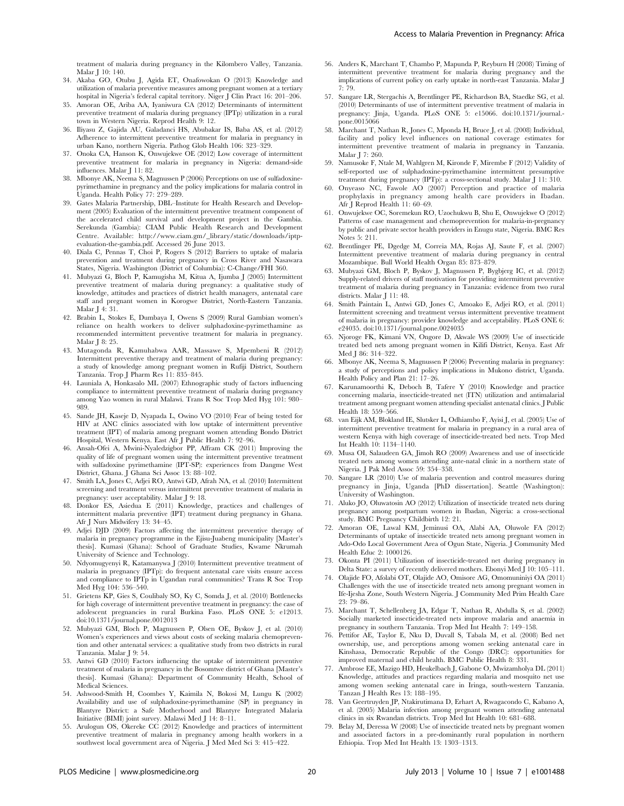treatment of malaria during pregnancy in the Kilombero Valley, Tanzania. Malar J 10: 140.

- 34. Akaba GO, Otubu J, Agida ET, Onafowokan O (2013) Knowledge and utilization of malaria preventive measures among pregnant women at a tertiary hospital in Nigeria's federal capital territory. Niger J Clin Pract 16: 201–206.
- 35. Amoran OE, Ariba AA, Iyaniwura CA (2012) Determinants of intermittent preventive treatment of malaria during pregnancy (IPTp) utilization in a rural town in Western Nigeria. Reprod Health 9: 12.
- 36. Iliyasu Z, Gajida AU, Galadanci HS, Abubakar IS, Baba AS, et al. (2012) Adherence to intermittent preventive treatment for malaria in pregnancy in urban Kano, northern Nigeria. Pathog Glob Health 106: 323–329.
- 37. Onoka CA, Hanson K, Onwujekwe OE (2012) Low coverage of intermittent preventive treatment for malaria in pregnancy in Nigeria: demand-side influences. Malar J 11: 82.
- 38. Mbonye AK, Neema S, Magnussen P (2006) Perceptions on use of sulfadoxinepyrimethamine in pregnancy and the policy implications for malaria control in Uganda. Health Policy 77: 279–289.
- 39. Gates Malaria Partnership, DBL–Institute for Health Research and Development (2005) Evaluation of the intermittent preventive treatment component of the accelerated child survival and development project in the Gambia. Serekunda (Gambia): CIAM Public Health Research and Development Centre. Available: http://www.ciam.gm/\_library/static/downloads/iptpevaluation-the-gambia.pdf. Accessed 26 June 2013.
- 40. Diala C, Pennas T, Choi P, Rogers S (2012) Barriers to uptake of malaria prevention and treatment during pregnancy in Cross River and Nasawara States, Nigeria. Washington (District of Columbia): C-Change/FHI 360.
- 41. Mubyazi G, Bloch P, Kamugisha M, Kitua A, Ijumba J (2005) Intermittent preventive treatment of malaria during pregnancy: a qualitative study of knowledge, attitudes and practices of district health managers, antenatal care staff and pregnant women in Korogwe District, North-Eastern Tanzania. Malar I 4: 31.
- 42. Brabin L, Stokes E, Dumbaya I, Owens S (2009) Rural Gambian women's reliance on health workers to deliver sulphadoxine-pyrimethamine as recommended intermittent preventive treatment for malaria in pregnancy. Malar J 8: 25.
- 43. Mutagonda R, Kamuhabwa AAR, Massawe S, Mpembeni R (2012) Intermittent preventive therapy and treatment of malaria during pregnancy: a study of knowledge among pregnant women in Rufiji District, Southern Tanzania. Trop J Pharm Res 11: 835–845.
- 44. Launiala A, Honkasalo ML (2007) Ethnographic study of factors influencing compliance to intermittent preventive treatment of malaria during pregnancy among Yao women in rural Malawi. Trans R Soc Trop Med Hyg 101: 980– 989.
- 45. Sande JH, Kaseje D, Nyapada L, Owino VO (2010) Fear of being tested for HIV at ANC clinics associated with low uptake of intermittent preventive treatment (IPT) of malaria among pregnant women attending Bondo District Hospital, Western Kenya. East Afr J Public Health 7: 92–96.
- 46. Ansah-Ofei A, Mwini-Nyaledzigbor PP, Affram CK (2011) Improving the quality of life of pregnant women using the intermittent preventive treatment with sulfadoxine pyrimethamine (IPT-SP): experiences from Dangme West District, Ghana. J Ghana Sci Assoc 13: 88–102.
- 47. Smith LA, Jones C, Adjei RO, Antwi GD, Afrah NA, et al. (2010) Intermittent screening and treatment versus intermittent preventive treatment of malaria in pregnancy: user acceptability. Malar J 9: 18.
- 48. Donkor ES, Asiedua E (2011) Knowledge, practices and challenges of intermittent malaria preventive (IPT) treatment during pregnancy in Ghana. Afr J Nurs Midwifery 13: 34–45.
- 49. Adjei DJD (2009) Factors affecting the intermittent preventive therapy of malaria in pregnancy programme in the Ejisu-Juabeng municipality [Master's thesis]. Kumasi (Ghana): School of Graduate Studies, Kwame Nkrumah University of Science and Technology.
- 50. Ndyomugyenyi R, Katamanywa J (2010) Intermittent preventive treatment of malaria in pregnancy (IPTp): do frequent antenatal care visits ensure access and compliance to IPTp in Ugandan rural communities? Trans R Soc Trop Med Hyg 104: 536–540.
- 51. Grietens KP, Gies S, Coulibaly SO, Ky C, Somda J, et al. (2010) Bottlenecks for high coverage of intermittent preventive treatment in pregnancy: the case of adolescent pregnancies in rural Burkina Faso. PLoS ONE 5: e12013. doi:10.1371/journal.pone.0012013
- 52. Mubyazi GM, Bloch P, Magnussen P, Olsen OE, Byskov J, et al. (2010) Women's experiences and views about costs of seeking malaria chemoprevention and other antenatal services: a qualitative study from two districts in rural Tanzania. Malar J 9: 54.
- 53. Antwi GD (2010) Factors influencing the uptake of intermittent preventive treatment of malaria in pregnancy in the Bosomtwe district of Ghana [Master's thesis]. Kumasi (Ghana): Department of Community Health, School of Medical Sciences.
- 54. Ashwood-Smith H, Coombes Y, Kaimila N, Bokosi M, Lungu K (2002) Availability and use of sulphadoxine-pyrimethamine (SP) in pregnancy in Blantyre District: a Safe Motherhood and Blantyre Integrated Malaria Initiative (BIMI) joint survey. Malawi Med J 14: 8–11.
- 55. Arulogun OS, Okereke CC (2012) Knowledge and practices of intermittent preventive treatment of malaria in pregnancy among health workers in a southwest local government area of Nigeria. J Med Med Sci 3: 415–422.
- 56. Anders K, Marchant T, Chambo P, Mapunda P, Reyburn H (2008) Timing of intermittent preventive treatment for malaria during pregnancy and the implications of current policy on early uptake in north-east Tanzania. Malar J 7: 79.
- 57. Sangare LR, Stergachis A, Brentlinger PE, Richardson BA, Staedke SG, et al. (2010) Determinants of use of intermittent preventive treatment of malaria in pregnancy: Jinja, Uganda. PLoS ONE 5: e15066. doi:10.1371/journal. pone.0015066
- 58. Marchant T, Nathan R, Jones C, Mponda H, Bruce J, et al. (2008) Individual, facility and policy level influences on national coverage estimates for intermittent preventive treatment of malaria in pregnancy in Tanzania. Malar I 7: 260.
- 59. Namusoke F, Ntale M, Wahlgren M, Kironde F, Mirembe F (2012) Validity of self-reported use of sulphadoxine-pyrimethamine intermittent presumptive treatment during pregnancy (IPTp): a cross-sectional study. Malar J 11: 310.
- 60. Onyeaso NC, Fawole AO (2007) Perception and practice of malaria prophylaxis in pregnancy among health care providers in Ibadan. Afr J Reprod Health 11: 60–69.
- 61. Onwujekwe OC, Soremekun RO, Uzochukwu B, Shu E, Onwujekwe O (2012) Patterns of case management and chemoprevention for malaria-in-pregnancy by public and private sector health providers in Enugu state, Nigeria. BMC Res Notes 5: 211.
- 62. Brentlinger PE, Dgedge M, Correia MA, Rojas AJ, Saute F, et al. (2007) Intermittent preventive treatment of malaria during pregnancy in central Mozambique. Bull World Health Organ 85: 873–879.
- 63. Mubyazi GM, Bloch P, Byskov J, Magnussen P, Bygbjerg IC, et al. (2012) Supply-related drivers of staff motivation for providing intermittent preventive treatment of malaria during pregnancy in Tanzania: evidence from two rural districts. Malar J 11: 48.
- 64. Smith Paintain L, Antwi GD, Jones C, Amoako E, Adjei RO, et al. (2011) Intermittent screening and treatment versus intermittent preventive treatment of malaria in pregnancy: provider knowledge and acceptability. PLoS ONE 6: e24035. doi:10.1371/journal.pone.0024035
- 65. Njoroge FK, Kimani VN, Ongore D, Akwale WS (2009) Use of insecticide treated bed nets among pregnant women in Kilifi District, Kenya. East Afr Med J 86: 314–322.
- 66. Mbonye AK, Neema S, Magnussen P (2006) Preventing malaria in pregnancy: a study of perceptions and policy implications in Mukono district, Uganda. Health Policy and Plan 21: 17–26.
- 67. Karunamoorthi K, Deboch B, Tafere Y (2010) Knowledge and practice concerning malaria, insecticide-treated net (ITN) utilization and antimalarial treatment among pregnant women attending specialist antenatal clinics. J Public Health 18: 559–566.
- 68. van Eijk AM, Blokland IE, Slutsker L, Odhiambo F, Ayisi J, et al. (2005) Use of intermittent preventive treatment for malaria in pregnancy in a rural area of western Kenya with high coverage of insecticide-treated bed nets. Trop Med Int Health 10: 1134–1140.
- 69. Musa OI, Salaudeen GA, Jimoh RO (2009) Awareness and use of insecticide treated nets among women attending ante-natal clinic in a northern state of Nigeria. J Pak Med Assoc 59: 354–358.
- 70. Sangare LR (2010) Use of malaria prevention and control measures during pregnancy in Jinja, Uganda [PhD dissertation]. Seattle (Washington): University of Washington.
- 71. Aluko JO, Oluwatosin AO (2012) Utilization of insecticide treated nets during pregnancy among postpartum women in Ibadan, Nigeria: a cross-sectional study. BMC Pregnancy Childbirth 12: 21.
- 72. Amoran OE, Lawal KM, Jeminusi OA, Alabi AA, Oluwole FA (2012) Determinants of uptake of insecticide treated nets among pregnant women in Ado-Odo Local Government Area of Ogun State, Nigeria. J Community Med Health Educ 2: 1000126.
- 73. Okonta PI (2011) Utilization of insecticide-treated net during pregnancy in Delta State: a survey of recently delivered mothers. Ebonyi Med J 10: 105–111.
- 74. Olajide FO, Afolabi OT, Olajide AO, Omisore AG, Omomuniniyi OA (2011) Challenges with the use of insecticide treated nets among pregnant women in Ife-Ijesha Zone, South Western Nigeria. J Community Med Prim Health Care 23: 79–86.
- 75. Marchant T, Schellenberg JA, Edgar T, Nathan R, Abdulla S, et al. (2002) Socially marketed insecticide-treated nets improve malaria and anaemia in pregnancy in southern Tanzania. Trop Med Int Health 7: 149–158.
- 76. Pettifor AE, Taylor E, Nku D, Duvall S, Tabala M, et al. (2008) Bed net ownership, use, and perceptions among women seeking antenatal care in Kinshasa, Democratic Republic of the Congo (DRC): opportunities for improved maternal and child health. BMC Public Health 8: 331.
- 77. Ambrose EE, Mazigo HD, Heukelbach J, Gabone O, Mwizamholya DL (2011) Knowledge, attitudes and practices regarding malaria and mosquito net use among women seeking antenatal care in Iringa, south-western Tanzania. Tanzan J Health Res 13: 188–195.
- 78. Van Geertruyden JP, Ntakirutimana D, Erhart A, Rwagacondo C, Kabano A, et al. (2005) Malaria infection among pregnant women attending antenatal clinics in six Rwandan districts. Trop Med Int Health 10: 681–688.
- 79. Belay M, Deressa W (2008) Use of insecticide treated nets by pregnant women and associated factors in a pre-dominantly rural population in northern Ethiopia. Trop Med Int Health 13: 1303–1313.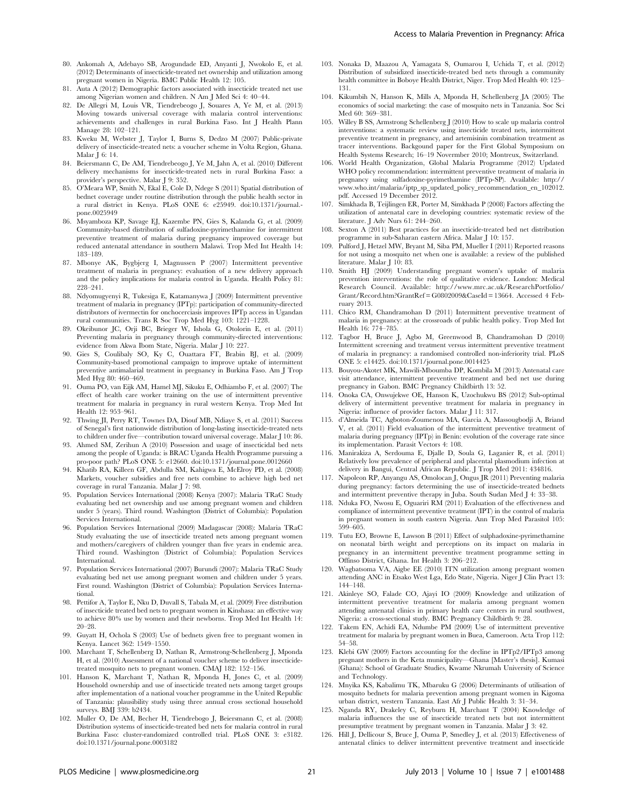- 80. Ankomah A, Adebayo SB, Arogundade ED, Anyanti J, Nwokolo E, et al. (2012) Determinants of insecticide-treated net ownership and utilization among pregnant women in Nigeria. BMC Public Health 12: 105.
- 81. Auta A (2012) Demographic factors associated with insecticide treated net use among Nigerian women and children. N Am J Med Sci 4: 40–44.
- 82. De Allegri M, Louis VR, Tiendrebeogo J, Souares A, Ye M, et al. (2013) Moving towards universal coverage with malaria control interventions: achievements and challenges in rural Burkina Faso. Int J Health Plann Manage 28: 102–121.
- 83. Kweku M, Webster J, Taylor I, Burns S, Dedzo M (2007) Public-private delivery of insecticide-treated nets: a voucher scheme in Volta Region, Ghana. Malar J 6: 14.
- 84. Beiersmann C, De AM, Tiendrebeogo J, Ye M, Jahn A, et al. (2010) Different delivery mechanisms for insecticide-treated nets in rural Burkina Faso: a provider's perspective. Malar J 9: 352.
- 85. O'Meara WP, Smith N, Ekal E, Cole D, Ndege S (2011) Spatial distribution of bednet coverage under routine distribution through the public health sector in a rural district in Kenya. PLoS ONE 6: e25949. doi:10.1371/journal. pone.0025949
- 86. Msyamboza KP, Savage EJ, Kazembe PN, Gies S, Kalanda G, et al. (2009) Community-based distribution of sulfadoxine-pyrimethamine for intermittent preventive treatment of malaria during pregnancy improved coverage but reduced antenatal attendance in southern Malawi. Trop Med Int Health 14: 183–189.
- 87. Mbonye AK, Bygbjerg I, Magnussen P (2007) Intermittent preventive treatment of malaria in pregnancy: evaluation of a new delivery approach and the policy implications for malaria control in Uganda. Health Policy 81: 228–241.
- 88. Ndyomugyenyi R, Tukesiga E, Katamanywa J (2009) Intermittent preventive treatment of malaria in pregnancy (IPTp): participation of community-directed distributors of ivermectin for onchocerciasis improves IPTp access in Ugandan rural communities. Trans R Soc Trop Med Hyg 103: 1221–1228.
- 89. Okeibunor JC, Orji BC, Brieger W, Ishola G, Otolorin E, et al. (2011) Preventing malaria in pregnancy through community-directed interventions: evidence from Akwa Ibom State, Nigeria. Malar J 10: 227.
- 90. Gies S, Coulibaly SO, Ky C, Ouattara FT, Brabin BJ, et al. (2009) Community-based promotional campaign to improve uptake of intermittent preventive antimalarial treatment in pregnancy in Burkina Faso. Am J Trop Med Hyg 80: 460–469.
- 91. Ouma PO, van Eijk AM, Hamel MJ, Sikuku E, Odhiambo F, et al. (2007) The effect of health care worker training on the use of intermittent preventive treatment for malaria in pregnancy in rural western Kenya. Trop Med Int Health 12: 953–961.
- 92. Thwing JI, Perry RT, Townes DA, Diouf MB, Ndiaye S, et al. (2011) Success of Senegal's first nationwide distribution of long-lasting insecticide-treated nets to children under five—contribution toward universal coverage. Malar J 10: 86.
- 93. Ahmed SM, Zerihun A (2010) Possession and usage of insecticidal bed nets among the people of Uganda: is BRAC Uganda Health Programme pursuing a pro-poor path? PLoS ONE 5: e12660. doi:10.1371/journal.pone.0012660
- 94. Khatib RA, Killeen GF, Abdulla SM, Kahigwa E, McElroy PD, et al. (2008) Markets, voucher subsidies and free nets combine to achieve high bed net coverage in rural Tanzania. Malar J 7: 98.
- 95. Population Services International (2008) Kenya (2007): Malaria TRaC Study evaluating bed net ownership and use among pregnant women and children under 5 (years). Third round. Washington (District of Columbia): Population Services International.
- 96. Population Services International (2009) Madagascar (2008): Malaria TRaC Study evaluating the use of insecticide treated nets among pregnant women and mothers/caregivers of children younger than five years in endemic area. Third round. Washington (District of Columbia): Population Services International.
- 97. Population Services International (2007) Burundi (2007): Malaria TRaC Study evaluating bed net use among pregnant women and children under 5 years. First round. Washington (District of Columbia): Population Services International.
- 98. Pettifor A, Taylor E, Nku D, Duvall S, Tabala M, et al. (2009) Free distribution of insecticide treated bed nets to pregnant women in Kinshasa: an effective way to achieve 80% use by women and their newborns. Trop Med Int Health 14: 20–28.
- 99. Guyatt H, Ochola S (2003) Use of bednets given free to pregnant women in Kenya. Lancet 362: 1549–1550.
- 100. Marchant T, Schellenberg D, Nathan R, Armstrong-Schellenberg J, Mponda H, et al. (2010) Assessment of a national voucher scheme to deliver insecticidetreated mosquito nets to pregnant women. CMAJ 182: 152–156.
- 101. Hanson K, Marchant T, Nathan R, Mponda H, Jones C, et al. (2009) Household ownership and use of insecticide treated nets among target groups after implementation of a national voucher programme in the United Republic of Tanzania: plausibility study using three annual cross sectional household surveys. BMJ 339: b2434.
- 102. Muller O, De AM, Becher H, Tiendrebogo J, Beiersmann C, et al. (2008) Distribution systems of insecticide-treated bed nets for malaria control in rural Burkina Faso: cluster-randomized controlled trial. PLoS ONE 3: e3182. doi:10.1371/journal.pone.0003182
- 103. Nonaka D, Maazou A, Yamagata S, Oumarou I, Uchida T, et al. (2012) Distribution of subsidized insecticide-treated bed nets through a community health committee in Boboye Health District, Niger. Trop Med Health 40: 125– 131.
- 104. Kikumbih N, Hanson K, Mills A, Mponda H, Schellenberg JA (2005) The economics of social marketing: the case of mosquito nets in Tanzania. Soc Sci Med 60: 369–381.
- 105. Willey B SS, Armstrong Schellenberg J (2010) How to scale up malaria control interventions: a systematic review using insecticide treated nets, intermittent preventive treatment in pregnancy, and artemisinin combination treatment as tracer interventions. Backgound paper for the First Global Symposium on Health Systems Research; 16–19 Novermber 2010; Montreux, Switzerland.
- 106. World Health Organization, Global Malaria Programme (2012) Updated WHO policy recommendation: intermittent preventive treatment of malaria in pregnancy using sulfadoxine-pyrimethamine (IPTp-SP). Available: http:// www.who.int/malaria/iptp\_sp\_updated\_policy\_recommendation\_en\_102012. pdf. Accessed 19 December 2012.
- 107. Simkhada B, Teijlingen ER, Porter M, Simkhada P (2008) Factors affecting the utilization of antenatal care in developing countries: systematic review of the literature. J Adv Nurs 61: 244–260.
- 108. Sexton A (2011) Best practices for an insecticide-treated bed net distribution programme in sub-Saharan eastern Africa. Malar J 10: 157.
- 109. Pulford J, Hetzel MW, Bryant M, Siba PM, Mueller I (2011) Reported reasons for not using a mosquito net when one is available: a review of the published literature. Malar J 10: 83.
- 110. Smith HJ (2009) Understanding pregnant women's uptake of malaria prevention interventions: the role of qualitative evidence. London: Medical Research Council. Available: http://www.mrc.ac.uk/ResearchPortfolio/ Grant/Record.htm?GrantRef = G0802009&CaseId = 13664. Accessed 4 February 2013.
- 111. Chico RM, Chandramohan D (2011) Intermittent preventive treatment of malaria in pregnancy: at the crossroads of public health policy. Trop Med Int Health 16: 774–785.
- 112. Tagbor H, Bruce J, Agbo M, Greenwood B, Chandramohan D (2010) Intermittent screening and treatment versus intermittent preventive treatment of malaria in pregnancy: a randomised controlled non-inferiority trial. PLoS ONE 5: e14425. doi:10.1371/journal.pone.0014425
- 113. Bouyou-Akotet MK, Mawili-Mboumba DP, Kombila M (2013) Antenatal care visit attendance, intermittent preventive treatment and bed net use during pregnancy in Gabon. BMC Pregnancy Childbirth 13: 52.
- 114. Onoka CA, Onwujekwe OE, Hanson K, Uzochukwu BS (2012) Sub-optimal delivery of intermittent preventive treatment for malaria in pregnancy in Nigeria: influence of provider factors. Malar J 11: 317.
- 115. d'Almeida TC, Agboton-Zoumenou MA, Garcia A, Massougbodji A, Briand V, et al. (2011) Field evaluation of the intermittent preventive treatment of malaria during pregnancy (IPTp) in Benin: evolution of the coverage rate since its implementation. Parasit Vectors 4: 108.
- 116. Manirakiza A, Serdouma E, Djalle D, Soula G, Laganier R, et al. (2011) Relatively low prevalence of peripheral and placental plasmodium infection at delivery in Bangui, Central African Republic. J Trop Med 2011: 434816.
- 117. Napoleon RP, Anyangu AS, Omolocan J, Ongus JR (2011) Preventing malaria during pregnancy: factors determining the use of insecticide-treated bednets and intermittent preventive therapy in Juba. South Sudan Med J 4: 33–38.
- 118. Nduka FO, Nwosu E, Oguariri RM (2011) Evaluation of the effectiveness and compliance of intermittent preventive treatment (IPT) in the control of malaria in pregnant women in south eastern Nigeria. Ann Trop Med Parasitol 105: 599–605.
- 119. Tutu EO, Browne E, Lawson B (2011) Effect of sulphadoxine-pyrimethamine on neonatal birth weight and perceptions on its impact on malaria in pregnancy in an intermittent preventive treatment programme setting in Offinso District, Ghana. Int Health 3: 206–212.
- 120. Wagbatsoma VA, Aigbe EE (2010) ITN utilization among pregnant women attending ANC in Etsako West Lga, Edo State, Nigeria. Niger J Clin Pract 13: 144–148.
- 121. Akinleye SO, Falade CO, Ajayi IO (2009) Knowledge and utilization of intermittent preventive treatment for malaria among pregnant women attending antenatal clinics in primary health care centers in rural southwest, Nigeria: a cross-sectional study. BMC Pregnancy Childbirth 9: 28.
- 122. Takem EN, Achidi EA, Ndumbe PM (2009) Use of intermittent preventive treatment for malaria by pregnant women in Buea, Cameroon. Acta Trop 112: 54–58.
- 123. Klebi GW (2009) Factors accounting for the decline in IPTp2/IPTp3 among pregnant mothers in the Keta municipality—Ghana [Master's thesis]. Kumasi (Ghana): School of Graduate Studies, Kwame Nkrumah University of Science and Technology.
- 124. Mnyika KS, Kabalimu TK, Mbaruku G (2006) Determinants of utilisation of mosquito bednets for malaria prevention among pregnant women in Kigoma urban district, western Tanzania. East Afr J Public Health 3: 31–34.
- 125. Nganda RY, Drakeley C, Reyburn H, Marchant T (2004) Knowledge of malaria influences the use of insecticide treated nets but not intermittent presumptive treatment by pregnant women in Tanzania. Malar J 3: 42.
- 126. Hill J, Dellicour S, Bruce J, Ouma P, Smedley J, et al. (2013) Effectiveness of antenatal clinics to deliver intermittent preventive treatment and insecticide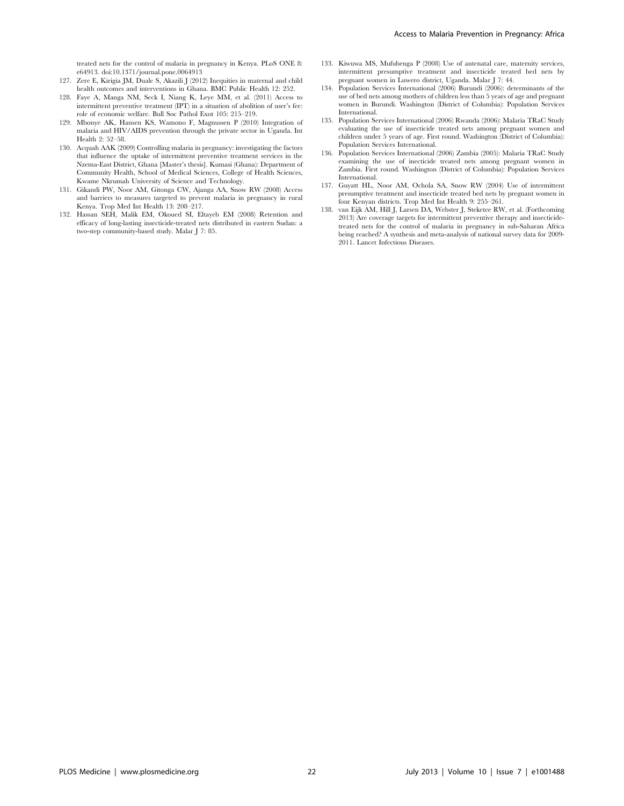treated nets for the control of malaria in pregnancy in Kenya. PLoS ONE 8: e64913. doi:10.1371/journal.pone.0064913

- 127. Zere E, Kirigia JM, Duale S, Akazili J (2012) Inequities in maternal and child health outcomes and interventions in Ghana. BMC Public Health 12: 252.
- 128. Faye A, Manga NM, Seck I, Niang K, Leye MM, et al. (2011) Access to intermittent preventive treatment (IPT) in a situation of abolition of user's fee: role of economic welfare. Bull Soc Pathol Exot 105: 215–219.
- 129. Mbonye AK, Hansen KS, Wamono F, Magnussen P (2010) Integration of malaria and HIV/AIDS prevention through the private sector in Uganda. Int Health 2: 52–58.
- 130. Acquah AAK (2009) Controlling malaria in pregnancy: investigating the factors that influence the uptake of intermittent preventive treatment services in the Nzema-East District, Ghana [Master's thesis]. Kumasi (Ghana): Department of Community Health, School of Medical Sciences, College of Health Sciences, Kwame Nkrumah University of Science and Technology.
- 131. Gikandi PW, Noor AM, Gitonga CW, Ajanga AA, Snow RW (2008) Access and barriers to measures targeted to prevent malaria in pregnancy in rural Kenya. Trop Med Int Health 13: 208–217.
- 132. Hassan SEH, Malik EM, Okoued SI, Eltayeb EM (2008) Retention and efficacy of long-lasting insecticide-treated nets distributed in eastern Sudan: a two-step community-based study. Malar J 7: 85.
- 133. Kiwuwa MS, Mufubenga P (2008) Use of antenatal care, maternity services, intermittent presumptive treatment and insecticide treated bed nets by pregnant women in Luwero district, Uganda. Malar J 7: 44.
- 134. Population Services International (2006) Burundi (2006): determinants of the use of bed nets among mothers of children less than 5 years of age and pregnant women in Burundi. Washington (District of Columbia): Population Services International.
- 135. Population Services International (2006) Rwanda (2006): Malaria TRaC Study evaluating the use of insecticide treated nets among pregnant women and children under 5 years of age. First round. Washington (District of Columbia): Population Services International.
- 136. Population Services International (2006) Zambia (2005): Malaria TRaC Study examining the use of inecticide treated nets among pregnant women in Zambia. First round. Washington (District of Columbia): Population Services International.
- 137. Guyatt HL, Noor AM, Ochola SA, Snow RW (2004) Use of intermittent presumptive treatment and insecticide treated bed nets by pregnant women in four Kenyan districts. Trop Med Int Health 9: 255–261.
- 138. van Eijk AM, Hill J, Larsen DA, Webster J, Steketee RW, et al. (Forthcoming 2013) Are coverage targets for intermittent preventive therapy and insecticidetreated nets for the control of malaria in pregnancy in sub-Saharan Africa being reached? A synthesis and meta-analysis of national survey data for 2009- 2011. Lancet Infectious Diseases.